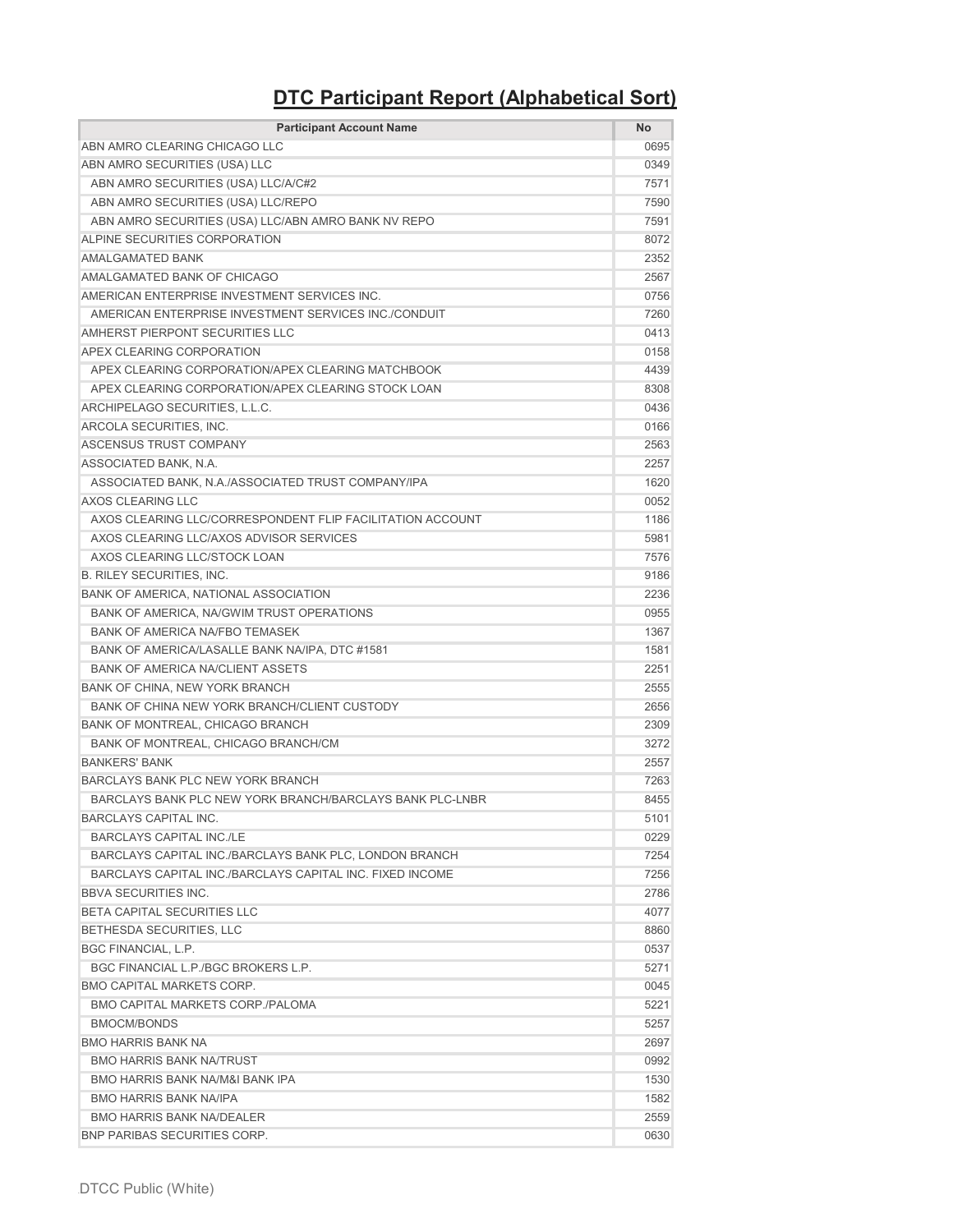## **DTC Participant Report (Alphabetical Sort)**

| <b>Participant Account Name</b>                           | <b>No</b> |
|-----------------------------------------------------------|-----------|
| ABN AMRO CLEARING CHICAGO LLC                             | 0695      |
| ABN AMRO SECURITIES (USA) LLC                             | 0349      |
| ABN AMRO SECURITIES (USA) LLC/A/C#2                       | 7571      |
| ABN AMRO SECURITIES (USA) LLC/REPO                        | 7590      |
| ABN AMRO SECURITIES (USA) LLC/ABN AMRO BANK NV REPO       | 7591      |
| ALPINE SECURITIES CORPORATION                             | 8072      |
| <b>AMALGAMATED BANK</b>                                   | 2352      |
| AMALGAMATED BANK OF CHICAGO                               | 2567      |
| AMERICAN ENTERPRISE INVESTMENT SERVICES INC.              | 0756      |
| AMERICAN ENTERPRISE INVESTMENT SERVICES INC./CONDUIT      | 7260      |
| AMHERST PIERPONT SECURITIES LLC                           | 0413      |
| APEX CLEARING CORPORATION                                 | 0158      |
| APEX CLEARING CORPORATION/APEX CLEARING MATCHBOOK         | 4439      |
| APEX CLEARING CORPORATION/APEX CLEARING STOCK LOAN        | 8308      |
| ARCHIPELAGO SECURITIES, L.L.C.                            | 0436      |
| ARCOLA SECURITIES, INC.                                   | 0166      |
| <b>ASCENSUS TRUST COMPANY</b>                             | 2563      |
| ASSOCIATED BANK, N.A.                                     | 2257      |
| ASSOCIATED BANK, N.A./ASSOCIATED TRUST COMPANY/IPA        | 1620      |
| AXOS CLEARING LLC                                         | 0052      |
| AXOS CLEARING LLC/CORRESPONDENT FLIP FACILITATION ACCOUNT | 1186      |
| AXOS CLEARING LLC/AXOS ADVISOR SERVICES                   | 5981      |
| AXOS CLEARING LLC/STOCK LOAN                              | 7576      |
| <b>B. RILEY SECURITIES, INC.</b>                          | 9186      |
| BANK OF AMERICA, NATIONAL ASSOCIATION                     | 2236      |
| BANK OF AMERICA, NA/GWIM TRUST OPERATIONS                 | 0955      |
| BANK OF AMERICA NA/FBO TEMASEK                            | 1367      |
| BANK OF AMERICA/LASALLE BANK NA/IPA, DTC #1581            | 1581      |
| <b>BANK OF AMERICA NA/CLIENT ASSETS</b>                   | 2251      |
| BANK OF CHINA, NEW YORK BRANCH                            | 2555      |
| BANK OF CHINA NEW YORK BRANCH/CLIENT CUSTODY              | 2656      |
| <b>BANK OF MONTREAL, CHICAGO BRANCH</b>                   | 2309      |
| BANK OF MONTREAL, CHICAGO BRANCH/CM                       | 3272      |
| <b>BANKERS' BANK</b>                                      | 2557      |
| BARCLAYS BANK PLC NEW YORK BRANCH                         | 7263      |
| BARCLAYS BANK PLC NEW YORK BRANCH/BARCLAYS BANK PLC-LNBR  | 8455      |
| <b>BARCLAYS CAPITAL INC.</b>                              | 5101      |
| <b>BARCLAYS CAPITAL INC./LE</b>                           | 0229      |
| BARCLAYS CAPITAL INC./BARCLAYS BANK PLC, LONDON BRANCH    | 7254      |
| BARCLAYS CAPITAL INC./BARCLAYS CAPITAL INC. FIXED INCOME  | 7256      |
| <b>BBVA SECURITIES INC.</b>                               | 2786      |
| <b>BETA CAPITAL SECURITIES LLC</b>                        | 4077      |
| BETHESDA SECURITIES, LLC                                  | 8860      |
| <b>BGC FINANCIAL, L.P.</b>                                | 0537      |
| BGC FINANCIAL L.P./BGC BROKERS L.P.                       | 5271      |
| <b>BMO CAPITAL MARKETS CORP.</b>                          | 0045      |
| <b>BMO CAPITAL MARKETS CORP./PALOMA</b>                   | 5221      |
| BMOCM/BONDS                                               | 5257      |
| <b>BMO HARRIS BANK NA</b>                                 | 2697      |
| <b>BMO HARRIS BANK NA/TRUST</b>                           | 0992      |
| <b>BMO HARRIS BANK NA/M&amp;I BANK IPA</b>                | 1530      |
| <b>BMO HARRIS BANK NA/IPA</b>                             | 1582      |
| <b>BMO HARRIS BANK NA/DEALER</b>                          | 2559      |
| <b>BNP PARIBAS SECURITIES CORP.</b>                       | 0630      |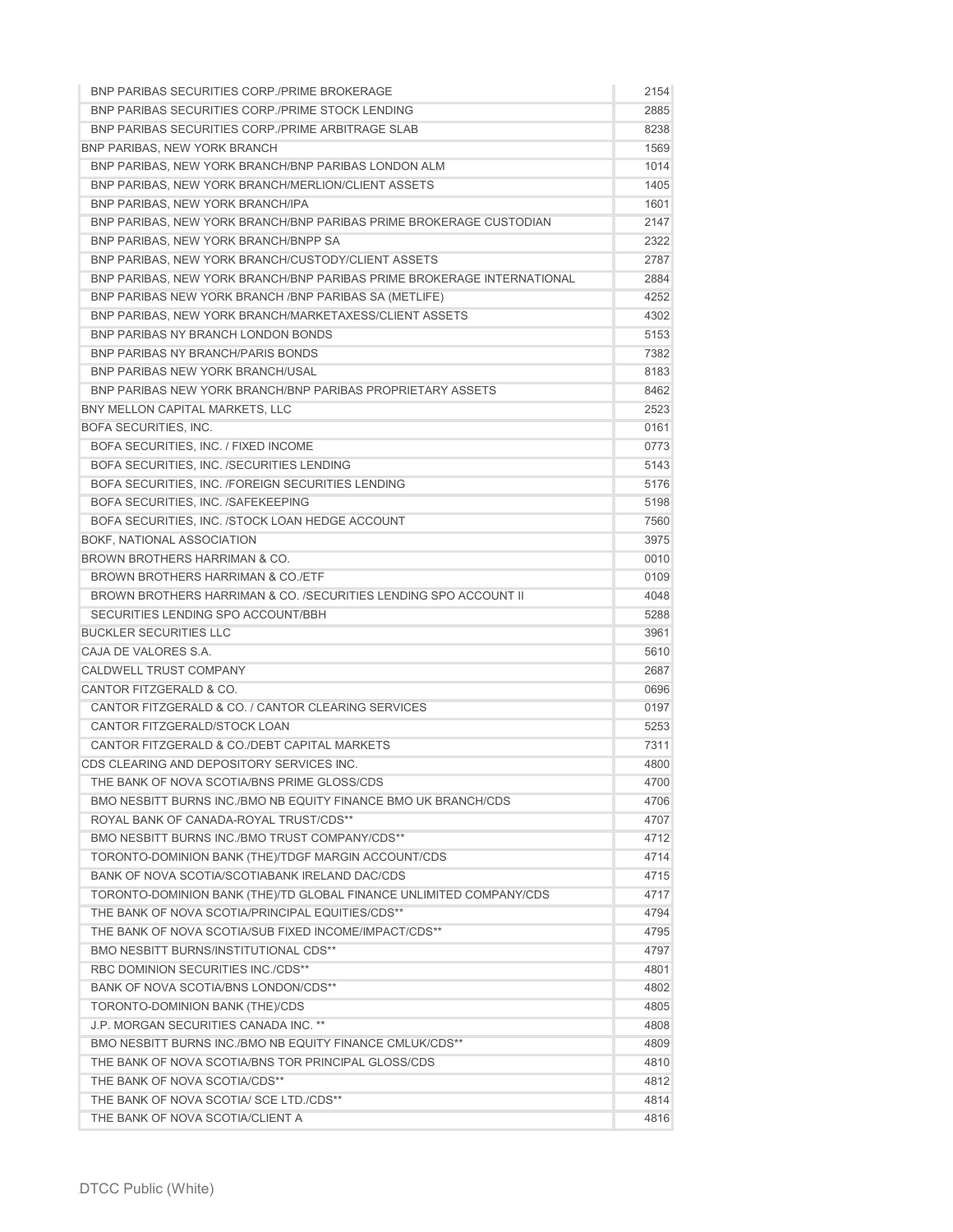| <b>BNP PARIBAS SECURITIES CORP./PRIME BROKERAGE</b>                    | 2154 |
|------------------------------------------------------------------------|------|
| BNP PARIBAS SECURITIES CORP./PRIME STOCK LENDING                       | 2885 |
| <b>BNP PARIBAS SECURITIES CORP./PRIME ARBITRAGE SLAB</b>               | 8238 |
| <b>BNP PARIBAS, NEW YORK BRANCH</b>                                    | 1569 |
| BNP PARIBAS, NEW YORK BRANCH/BNP PARIBAS LONDON ALM                    | 1014 |
| BNP PARIBAS, NEW YORK BRANCH/MERLION/CLIENT ASSETS                     | 1405 |
| <b>BNP PARIBAS, NEW YORK BRANCH/IPA</b>                                | 1601 |
| BNP PARIBAS, NEW YORK BRANCH/BNP PARIBAS PRIME BROKERAGE CUSTODIAN     | 2147 |
| BNP PARIBAS, NEW YORK BRANCH/BNPP SA                                   | 2322 |
| BNP PARIBAS, NEW YORK BRANCH/CUSTODY/CLIENT ASSETS                     | 2787 |
| BNP PARIBAS, NEW YORK BRANCH/BNP PARIBAS PRIME BROKERAGE INTERNATIONAL | 2884 |
| BNP PARIBAS NEW YORK BRANCH / BNP PARIBAS SA (METLIFE)                 | 4252 |
| BNP PARIBAS, NEW YORK BRANCH/MARKETAXESS/CLIENT ASSETS                 | 4302 |
| <b>BNP PARIBAS NY BRANCH LONDON BONDS</b>                              | 5153 |
| <b>BNP PARIBAS NY BRANCH/PARIS BONDS</b>                               | 7382 |
| <b>BNP PARIBAS NEW YORK BRANCH/USAL</b>                                | 8183 |
| BNP PARIBAS NEW YORK BRANCH/BNP PARIBAS PROPRIETARY ASSETS             | 8462 |
| BNY MELLON CAPITAL MARKETS, LLC                                        | 2523 |
| BOFA SECURITIES, INC.                                                  | 0161 |
| BOFA SECURITIES, INC. / FIXED INCOME                                   | 0773 |
| BOFA SECURITIES, INC. /SECURITIES LENDING                              | 5143 |
| BOFA SECURITIES, INC. /FOREIGN SECURITIES LENDING                      | 5176 |
| BOFA SECURITIES, INC. /SAFEKEEPING                                     | 5198 |
| BOFA SECURITIES, INC. /STOCK LOAN HEDGE ACCOUNT                        | 7560 |
| BOKF, NATIONAL ASSOCIATION                                             | 3975 |
| <b>BROWN BROTHERS HARRIMAN &amp; CO.</b>                               | 0010 |
| <b>BROWN BROTHERS HARRIMAN &amp; CO./ETF</b>                           | 0109 |
| BROWN BROTHERS HARRIMAN & CO. /SECURITIES LENDING SPO ACCOUNT II       | 4048 |
| SECURITIES LENDING SPO ACCOUNT/BBH                                     | 5288 |
| <b>BUCKLER SECURITIES LLC</b>                                          | 3961 |
| CAJA DE VALORES S.A.                                                   | 5610 |
| <b>CALDWELL TRUST COMPANY</b>                                          | 2687 |
| <b>CANTOR FITZGERALD &amp; CO.</b>                                     | 0696 |
| CANTOR FITZGERALD & CO. / CANTOR CLEARING SERVICES                     | 0197 |
| CANTOR FITZGERALD/STOCK LOAN                                           | 5253 |
| CANTOR FITZGERALD & CO./DEBT CAPITAL MARKETS                           | 7311 |
| CDS CLEARING AND DEPOSITORY SERVICES INC.                              | 4800 |
| THE BANK OF NOVA SCOTIA/BNS PRIME GLOSS/CDS                            | 4700 |
| BMO NESBITT BURNS INC./BMO NB EQUITY FINANCE BMO UK BRANCH/CDS         | 4706 |
| ROYAL BANK OF CANADA-ROYAL TRUST/CDS**                                 | 4707 |
| <b>BMO NESBITT BURNS INC./BMO TRUST COMPANY/CDS**</b>                  | 4712 |
| TORONTO-DOMINION BANK (THE)/TDGF MARGIN ACCOUNT/CDS                    | 4714 |
| BANK OF NOVA SCOTIA/SCOTIABANK IRELAND DAC/CDS                         | 4715 |
| TORONTO-DOMINION BANK (THE)/TD GLOBAL FINANCE UNLIMITED COMPANY/CDS    | 4717 |
| THE BANK OF NOVA SCOTIA/PRINCIPAL EQUITIES/CDS**                       | 4794 |
| THE BANK OF NOVA SCOTIA/SUB FIXED INCOME/IMPACT/CDS**                  | 4795 |
| <b>BMO NESBITT BURNS/INSTITUTIONAL CDS**</b>                           | 4797 |
| RBC DOMINION SECURITIES INC./CDS**                                     | 4801 |
| BANK OF NOVA SCOTIA/BNS LONDON/CDS**                                   | 4802 |
| TORONTO-DOMINION BANK (THE)/CDS                                        | 4805 |
| J.P. MORGAN SECURITIES CANADA INC. **                                  | 4808 |
| BMO NESBITT BURNS INC./BMO NB EQUITY FINANCE CMLUK/CDS**               | 4809 |
| THE BANK OF NOVA SCOTIA/BNS TOR PRINCIPAL GLOSS/CDS                    | 4810 |
| THE BANK OF NOVA SCOTIA/CDS**                                          | 4812 |
| THE BANK OF NOVA SCOTIA/ SCE LTD./CDS**                                | 4814 |
| THE BANK OF NOVA SCOTIA/CLIENT A                                       | 4816 |
|                                                                        |      |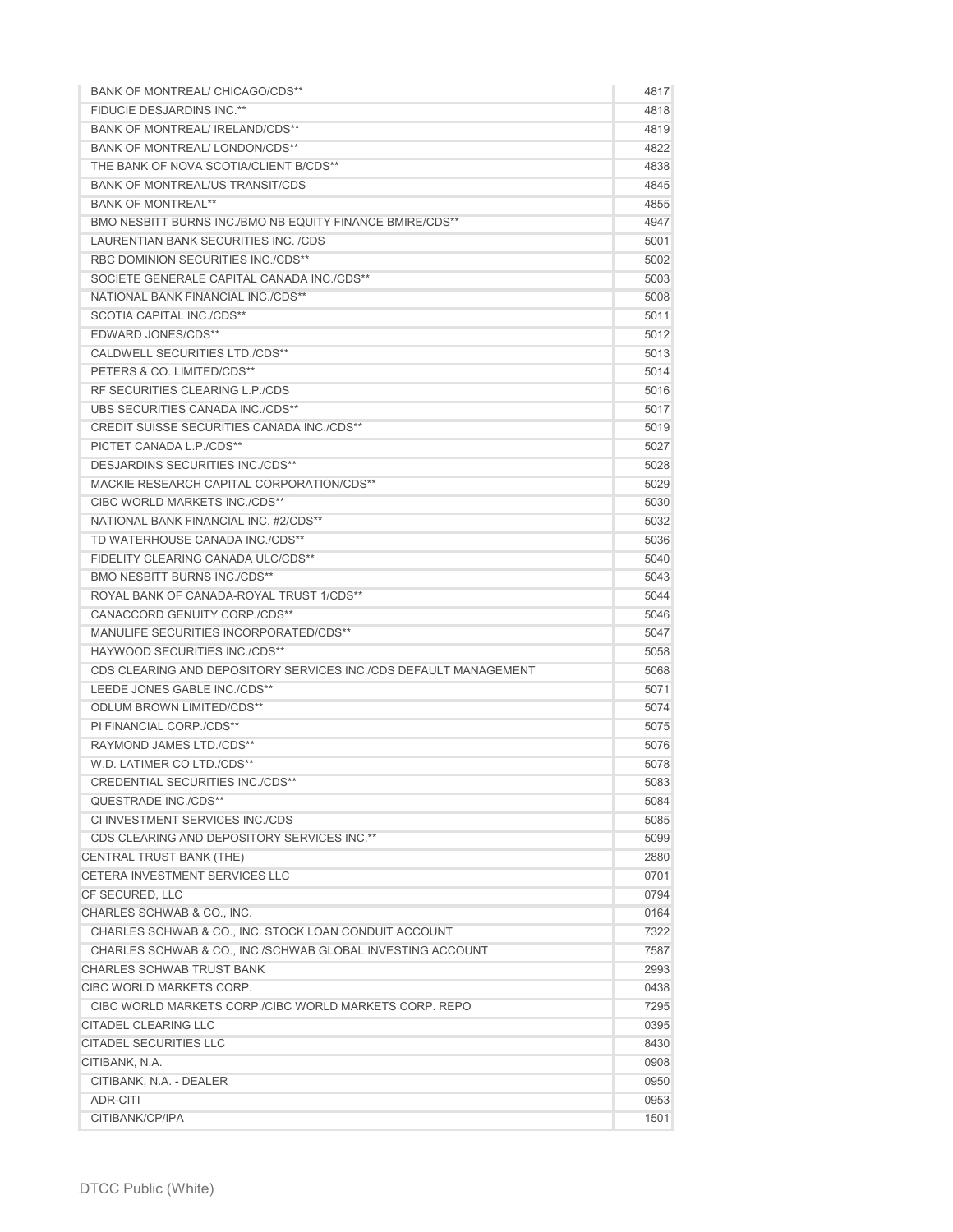| <b>BANK OF MONTREAL/ CHICAGO/CDS**</b>                           | 4817 |
|------------------------------------------------------------------|------|
| <b>FIDUCIE DESJARDINS INC.**</b>                                 | 4818 |
| BANK OF MONTREAL/ IRELAND/CDS**                                  | 4819 |
| BANK OF MONTREAL/LONDON/CDS**                                    | 4822 |
| THE BANK OF NOVA SCOTIA/CLIENT B/CDS**                           | 4838 |
| <b>BANK OF MONTREAL/US TRANSIT/CDS</b>                           | 4845 |
| <b>BANK OF MONTREAL**</b>                                        | 4855 |
| <b>BMO NESBITT BURNS INC./BMO NB EQUITY FINANCE BMIRE/CDS**</b>  | 4947 |
| LAURENTIAN BANK SECURITIES INC. /CDS                             | 5001 |
| RBC DOMINION SECURITIES INC./CDS**                               | 5002 |
| SOCIETE GENERALE CAPITAL CANADA INC./CDS**                       | 5003 |
| NATIONAL BANK FINANCIAL INC./CDS**                               | 5008 |
| SCOTIA CAPITAL INC./CDS**                                        | 5011 |
| <b>EDWARD JONES/CDS**</b>                                        | 5012 |
| <b>CALDWELL SECURITIES LTD./CDS**</b>                            | 5013 |
| PETERS & CO. LIMITED/CDS**                                       | 5014 |
| RF SECURITIES CLEARING L.P./CDS                                  | 5016 |
| UBS SECURITIES CANADA INC./CDS**                                 | 5017 |
| <b>CREDIT SUISSE SECURITIES CANADA INC./CDS**</b>                | 5019 |
| PICTET CANADA L.P./CDS**                                         | 5027 |
| <b>DESJARDINS SECURITIES INC./CDS**</b>                          | 5028 |
| MACKIE RESEARCH CAPITAL CORPORATION/CDS**                        | 5029 |
| CIBC WORLD MARKETS INC./CDS**                                    | 5030 |
| NATIONAL BANK FINANCIAL INC. #2/CDS**                            | 5032 |
| TD WATERHOUSE CANADA INC./CDS**                                  | 5036 |
| FIDELITY CLEARING CANADA ULC/CDS**                               | 5040 |
| <b>BMO NESBITT BURNS INC./CDS**</b>                              | 5043 |
| ROYAL BANK OF CANADA-ROYAL TRUST 1/CDS**                         | 5044 |
| CANACCORD GENUITY CORP./CDS**                                    | 5046 |
| MANULIFE SECURITIES INCORPORATED/CDS**                           | 5047 |
| HAYWOOD SECURITIES INC./CDS**                                    | 5058 |
| CDS CLEARING AND DEPOSITORY SERVICES INC./CDS DEFAULT MANAGEMENT | 5068 |
| LEEDE JONES GABLE INC./CDS**                                     | 5071 |
| <b>ODLUM BROWN LIMITED/CDS**</b>                                 | 5074 |
| PI FINANCIAL CORP./CDS**                                         | 5075 |
| RAYMOND JAMES LTD./CDS**                                         | 5076 |
| W.D. LATIMER CO LTD./CDS**                                       | 5078 |
| <b>CREDENTIAL SECURITIES INC./CDS**</b>                          | 5083 |
| QUESTRADE INC./CDS**                                             | 5084 |
| CI INVESTMENT SERVICES INC./CDS                                  | 5085 |
| CDS CLEARING AND DEPOSITORY SERVICES INC.**                      | 5099 |
| CENTRAL TRUST BANK (THE)                                         | 2880 |
| <b>CETERA INVESTMENT SERVICES LLC</b>                            | 0701 |
| CF SECURED, LLC                                                  | 0794 |
| CHARLES SCHWAB & CO., INC.                                       | 0164 |
| CHARLES SCHWAB & CO., INC. STOCK LOAN CONDUIT ACCOUNT            | 7322 |
| CHARLES SCHWAB & CO., INC./SCHWAB GLOBAL INVESTING ACCOUNT       | 7587 |
| <b>CHARLES SCHWAB TRUST BANK</b>                                 | 2993 |
| CIBC WORLD MARKETS CORP.                                         | 0438 |
| CIBC WORLD MARKETS CORP / CIBC WORLD MARKETS CORP. REPO          | 7295 |
| <b>CITADEL CLEARING LLC</b>                                      | 0395 |
| <b>CITADEL SECURITIES LLC</b>                                    | 8430 |
| CITIBANK, N.A.                                                   | 0908 |
| CITIBANK, N.A. - DEALER                                          | 0950 |
| ADR-CITI                                                         | 0953 |
| CITIBANK/CP/IPA                                                  | 1501 |
|                                                                  |      |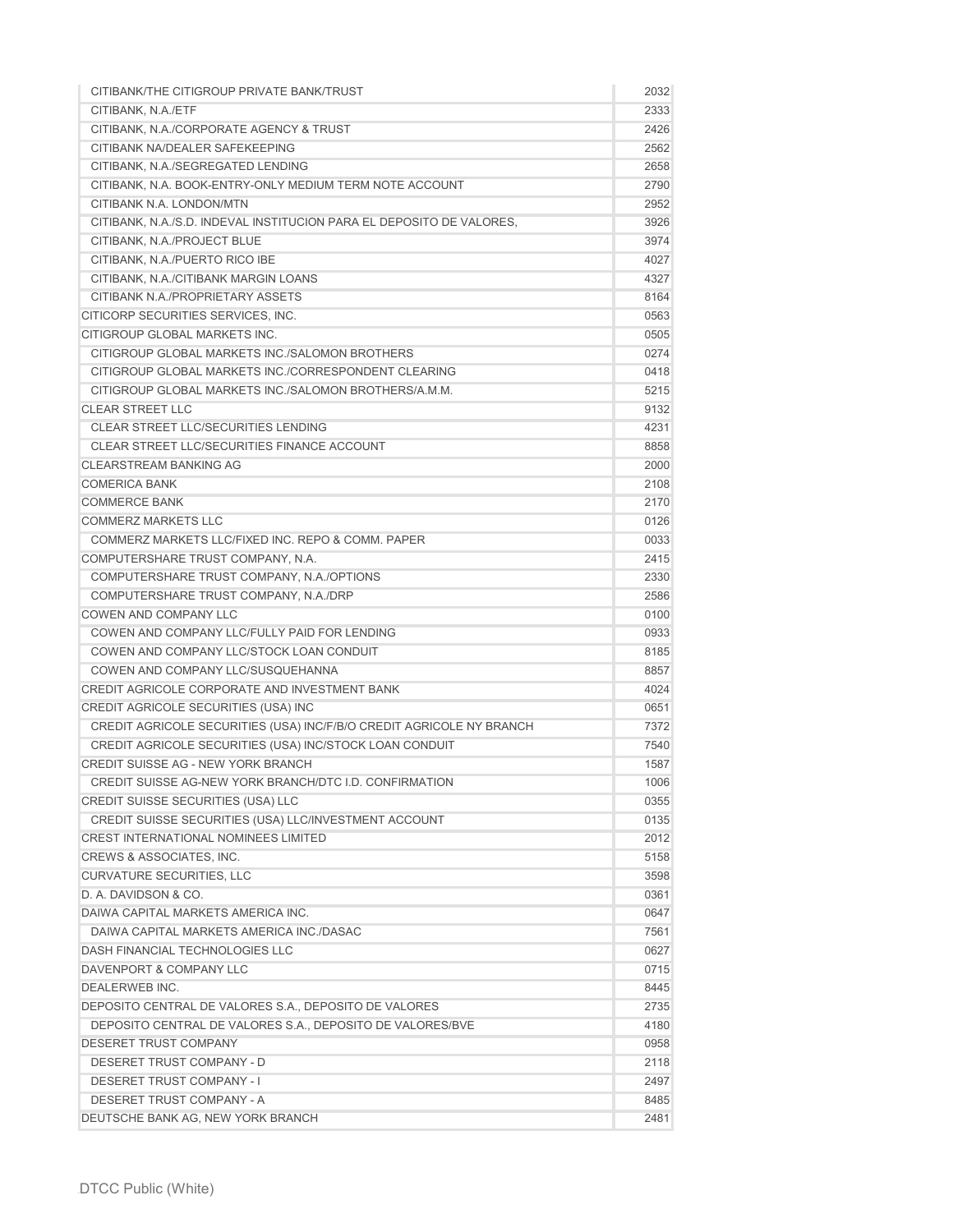| CITIBANK/THE CITIGROUP PRIVATE BANK/TRUST                            | 2032         |
|----------------------------------------------------------------------|--------------|
| CITIBANK, N.A./ETF                                                   | 2333         |
| CITIBANK, N.A./CORPORATE AGENCY & TRUST                              | 2426         |
| CITIBANK NA/DEALER SAFEKEEPING                                       | 2562         |
| CITIBANK, N.A./SEGREGATED LENDING                                    | 2658         |
| CITIBANK, N.A. BOOK-ENTRY-ONLY MEDIUM TERM NOTE ACCOUNT              | 2790         |
| CITIBANK N.A. LONDON/MTN                                             | 2952         |
| CITIBANK, N.A./S.D. INDEVAL INSTITUCION PARA EL DEPOSITO DE VALORES, | 3926         |
| CITIBANK, N.A./PROJECT BLUE                                          | 3974         |
| CITIBANK, N.A./PUERTO RICO IBE                                       | 4027         |
| CITIBANK, N.A./CITIBANK MARGIN LOANS                                 | 4327         |
| CITIBANK N.A./PROPRIETARY ASSETS                                     | 8164         |
| CITICORP SECURITIES SERVICES, INC.                                   | 0563         |
| CITIGROUP GLOBAL MARKETS INC.                                        | 0505         |
| CITIGROUP GLOBAL MARKETS INC./SALOMON BROTHERS                       | 0274         |
| CITIGROUP GLOBAL MARKETS INC./CORRESPONDENT CLEARING                 | 0418         |
| CITIGROUP GLOBAL MARKETS INC./SALOMON BROTHERS/A.M.M.                | 5215         |
| <b>CLEAR STREET LLC</b>                                              | 9132         |
| <b>CLEAR STREET LLC/SECURITIES LENDING</b>                           | 4231         |
| CLEAR STREET LLC/SECURITIES FINANCE ACCOUNT                          | 8858         |
| <b>CLEARSTREAM BANKING AG</b>                                        | 2000         |
| <b>COMERICA BANK</b>                                                 | 2108         |
| <b>COMMERCE BANK</b>                                                 | 2170         |
| <b>COMMERZ MARKETS LLC</b>                                           | 0126         |
| COMMERZ MARKETS LLC/FIXED INC. REPO & COMM. PAPER                    | 0033         |
| COMPUTERSHARE TRUST COMPANY, N.A.                                    | 2415         |
| COMPUTERSHARE TRUST COMPANY, N.A./OPTIONS                            | 2330         |
| COMPUTERSHARE TRUST COMPANY, N.A./DRP                                | 2586         |
| COWEN AND COMPANY LLC                                                | 0100         |
| COWEN AND COMPANY LLC/FULLY PAID FOR LENDING                         | 0933         |
| COWEN AND COMPANY LLC/STOCK LOAN CONDUIT                             | 8185         |
| COWEN AND COMPANY LLC/SUSQUEHANNA                                    | 8857         |
| <b>CREDIT AGRICOLE CORPORATE AND INVESTMENT BANK</b>                 | 4024         |
| CREDIT AGRICOLE SECURITIES (USA) INC                                 | 0651         |
| CREDIT AGRICOLE SECURITIES (USA) INC/F/B/O CREDIT AGRICOLE NY BRANCH | 7372         |
| CREDIT AGRICOLE SECURITIES (USA) INC/STOCK LOAN CONDUIT              | 7540         |
| CREDIT SUISSE AG - NEW YORK BRANCH                                   | 1587         |
| CREDIT SUISSE AG-NEW YORK BRANCH/DTC I.D. CONFIRMATION               | 1006         |
| CREDIT SUISSE SECURITIES (USA) LLC                                   | 0355         |
| CREDIT SUISSE SECURITIES (USA) LLC/INVESTMENT ACCOUNT                | 0135         |
| <b>CREST INTERNATIONAL NOMINEES LIMITED</b>                          | 2012         |
| CREWS & ASSOCIATES, INC.                                             | 5158         |
| <b>CURVATURE SECURITIES, LLC</b>                                     | 3598         |
| D. A. DAVIDSON & CO.                                                 | 0361         |
| DAIWA CAPITAL MARKETS AMERICA INC.                                   | 0647         |
| DAIWA CAPITAL MARKETS AMERICA INC./DASAC                             | 7561         |
| DASH FINANCIAL TECHNOLOGIES LLC                                      | 0627         |
| DAVENPORT & COMPANY LLC                                              | 0715         |
| <b>DEALERWEB INC.</b>                                                | 8445         |
| DEPOSITO CENTRAL DE VALORES S.A., DEPOSITO DE VALORES                | 2735         |
| DEPOSITO CENTRAL DE VALORES S.A., DEPOSITO DE VALORES/BVE            | 4180         |
| <b>DESERET TRUST COMPANY</b>                                         | 0958         |
| DESERET TRUST COMPANY - D                                            |              |
|                                                                      | 2118<br>2497 |
| <b>DESERET TRUST COMPANY - I</b><br>DESERET TRUST COMPANY - A        |              |
|                                                                      | 8485         |
| DEUTSCHE BANK AG, NEW YORK BRANCH                                    | 2481         |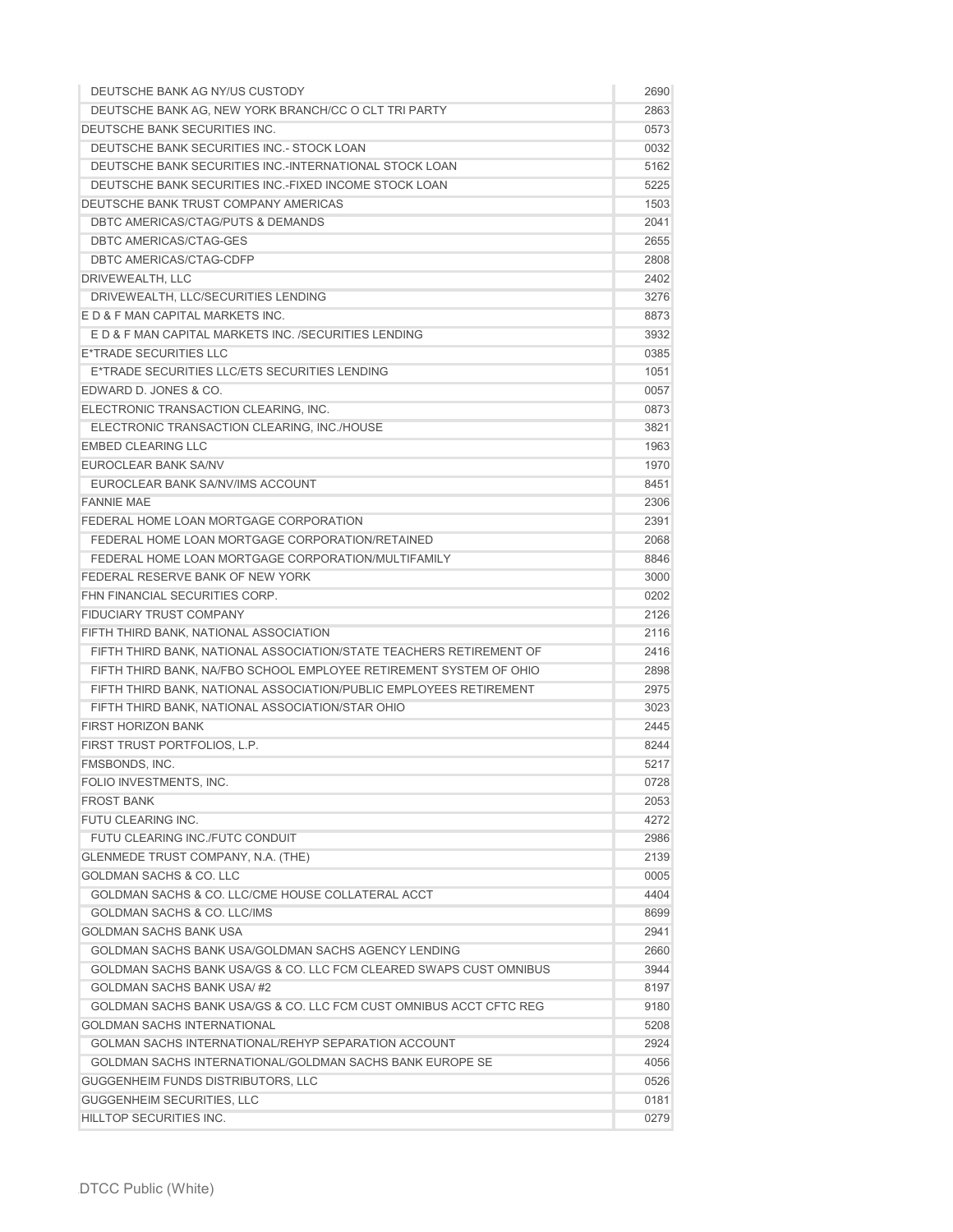| DEUTSCHE BANK AG NY/US CUSTODY                                      | 2690 |
|---------------------------------------------------------------------|------|
| DEUTSCHE BANK AG, NEW YORK BRANCH/CC O CLT TRI PARTY                | 2863 |
| DEUTSCHE BANK SECURITIES INC.                                       | 0573 |
| DEUTSCHE BANK SECURITIES INC. - STOCK LOAN                          | 0032 |
| DEUTSCHE BANK SECURITIES INC.-INTERNATIONAL STOCK LOAN              | 5162 |
| DEUTSCHE BANK SECURITIES INC.-FIXED INCOME STOCK LOAN               | 5225 |
| DEUTSCHE BANK TRUST COMPANY AMERICAS                                | 1503 |
| DBTC AMERICAS/CTAG/PUTS & DEMANDS                                   | 2041 |
| <b>DBTC AMERICAS/CTAG-GES</b>                                       | 2655 |
| DBTC AMERICAS/CTAG-CDFP                                             | 2808 |
| DRIVEWEALTH, LLC                                                    | 2402 |
| DRIVEWEALTH, LLC/SECURITIES LENDING                                 | 3276 |
| E D & F MAN CAPITAL MARKETS INC.                                    | 8873 |
| E D & F MAN CAPITAL MARKETS INC. /SECURITIES LENDING                | 3932 |
| E*TRADE SECURITIES LLC                                              | 0385 |
| E*TRADE SECURITIES LLC/ETS SECURITIES LENDING                       | 1051 |
| EDWARD D. JONES & CO.                                               | 0057 |
| ELECTRONIC TRANSACTION CLEARING, INC.                               | 0873 |
| ELECTRONIC TRANSACTION CLEARING, INC./HOUSE                         | 3821 |
| <b>EMBED CLEARING LLC</b>                                           | 1963 |
| EUROCLEAR BANK SA/NV                                                | 1970 |
| EUROCLEAR BANK SA/NV/IMS ACCOUNT                                    | 8451 |
| <b>FANNIE MAE</b>                                                   | 2306 |
| FEDERAL HOME LOAN MORTGAGE CORPORATION                              | 2391 |
| FEDERAL HOME LOAN MORTGAGE CORPORATION/RETAINED                     | 2068 |
| FEDERAL HOME LOAN MORTGAGE CORPORATION/MULTIFAMILY                  | 8846 |
| FEDERAL RESERVE BANK OF NEW YORK                                    | 3000 |
| FHN FINANCIAL SECURITIES CORP.                                      | 0202 |
| <b>FIDUCIARY TRUST COMPANY</b>                                      | 2126 |
| FIFTH THIRD BANK, NATIONAL ASSOCIATION                              | 2116 |
| FIFTH THIRD BANK, NATIONAL ASSOCIATION/STATE TEACHERS RETIREMENT OF | 2416 |
| FIFTH THIRD BANK, NA/FBO SCHOOL EMPLOYEE RETIREMENT SYSTEM OF OHIO  | 2898 |
| FIFTH THIRD BANK, NATIONAL ASSOCIATION/PUBLIC EMPLOYEES RETIREMENT  | 2975 |
| FIFTH THIRD BANK, NATIONAL ASSOCIATION/STAR OHIO                    | 3023 |
| <b>FIRST HORIZON BANK</b>                                           | 2445 |
| FIRST TRUST PORTFOLIOS, L.P.                                        | 8244 |
| FMSBONDS, INC.                                                      | 5217 |
| FOLIO INVESTMENTS, INC.                                             | 0728 |
| <b>FROST BANK</b>                                                   | 2053 |
| FUTU CLEARING INC.                                                  | 4272 |
| FUTU CLEARING INC./FUTC CONDUIT                                     | 2986 |
| <b>GLENMEDE TRUST COMPANY, N.A. (THE)</b>                           | 2139 |
| <b>GOLDMAN SACHS &amp; CO. LLC</b>                                  | 0005 |
| GOLDMAN SACHS & CO. LLC/CME HOUSE COLLATERAL ACCT                   |      |
| GOLDMAN SACHS & CO. LLC/IMS                                         | 4404 |
|                                                                     | 8699 |
| <b>GOLDMAN SACHS BANK USA</b>                                       | 2941 |
| GOLDMAN SACHS BANK USA/GOLDMAN SACHS AGENCY LENDING                 | 2660 |
| GOLDMAN SACHS BANK USA/GS & CO. LLC FCM CLEARED SWAPS CUST OMNIBUS  | 3944 |
| GOLDMAN SACHS BANK USA/#2                                           | 8197 |
| GOLDMAN SACHS BANK USA/GS & CO. LLC FCM CUST OMNIBUS ACCT CFTC REG  | 9180 |
| <b>GOLDMAN SACHS INTERNATIONAL</b>                                  | 5208 |
| GOLMAN SACHS INTERNATIONAL/REHYP SEPARATION ACCOUNT                 | 2924 |
| GOLDMAN SACHS INTERNATIONAL/GOLDMAN SACHS BANK EUROPE SE            | 4056 |
| GUGGENHEIM FUNDS DISTRIBUTORS, LLC                                  | 0526 |
| GUGGENHEIM SECURITIES, LLC                                          | 0181 |
| HILLTOP SECURITIES INC.                                             | 0279 |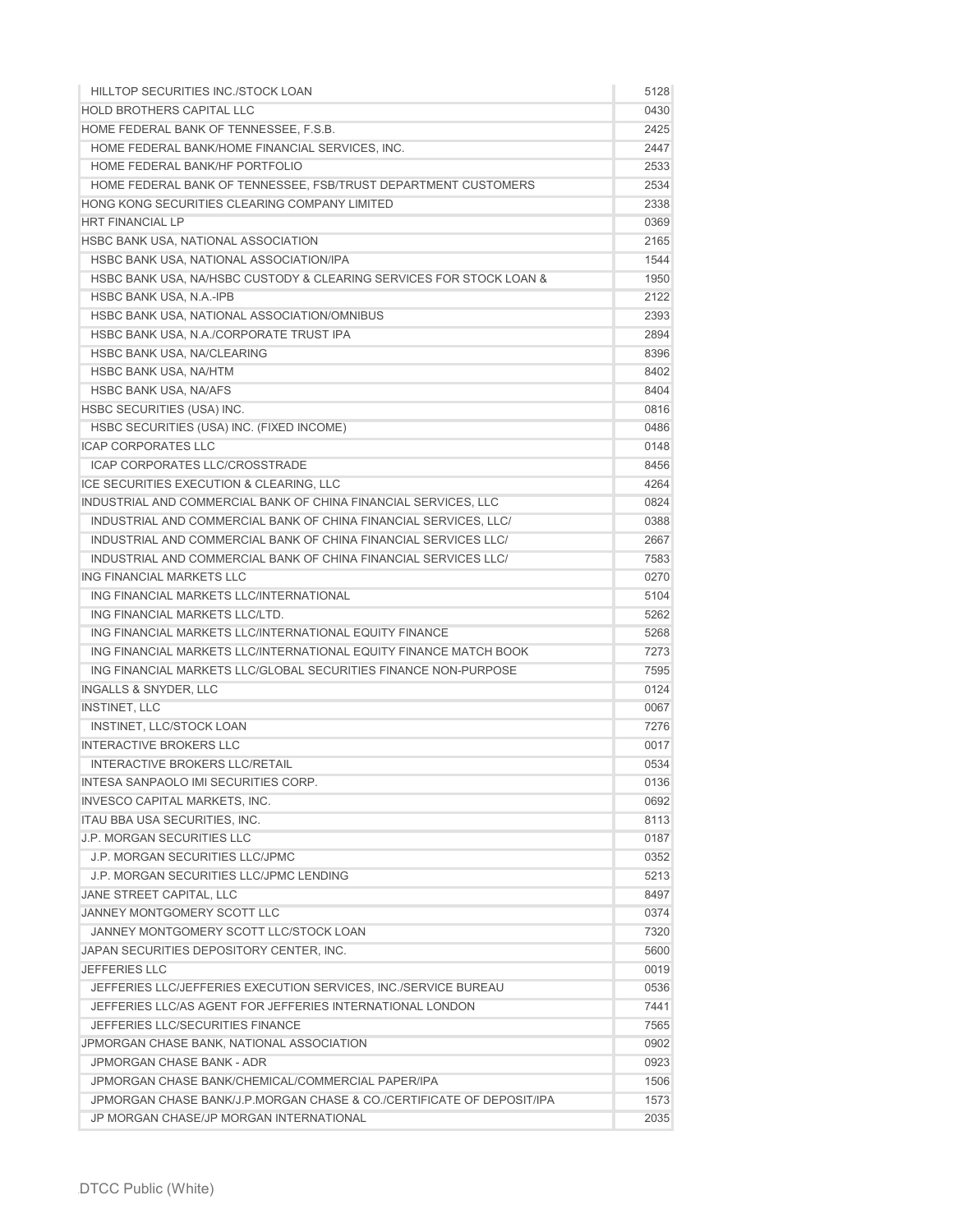| HILLTOP SECURITIES INC./STOCK LOAN                                    | 5128 |
|-----------------------------------------------------------------------|------|
| <b>HOLD BROTHERS CAPITAL LLC</b>                                      | 0430 |
| HOME FEDERAL BANK OF TENNESSEE, F.S.B.                                | 2425 |
| HOME FEDERAL BANK/HOME FINANCIAL SERVICES, INC.                       | 2447 |
| HOME FEDERAL BANK/HF PORTFOLIO                                        | 2533 |
| HOME FEDERAL BANK OF TENNESSEE, FSB/TRUST DEPARTMENT CUSTOMERS        | 2534 |
| HONG KONG SECURITIES CLEARING COMPANY LIMITED                         | 2338 |
| <b>HRT FINANCIAL LP</b>                                               | 0369 |
| HSBC BANK USA, NATIONAL ASSOCIATION                                   | 2165 |
| HSBC BANK USA, NATIONAL ASSOCIATION/IPA                               | 1544 |
| HSBC BANK USA, NA/HSBC CUSTODY & CLEARING SERVICES FOR STOCK LOAN &   | 1950 |
| HSBC BANK USA, N.A.-IPB                                               | 2122 |
| HSBC BANK USA, NATIONAL ASSOCIATION/OMNIBUS                           | 2393 |
| HSBC BANK USA, N.A./CORPORATE TRUST IPA                               | 2894 |
| HSBC BANK USA, NA/CLEARING                                            | 8396 |
| <b>HSBC BANK USA, NA/HTM</b>                                          | 8402 |
| <b>HSBC BANK USA, NA/AFS</b>                                          | 8404 |
| HSBC SECURITIES (USA) INC.                                            | 0816 |
| HSBC SECURITIES (USA) INC. (FIXED INCOME)                             | 0486 |
| <b>ICAP CORPORATES LLC</b>                                            | 0148 |
| ICAP CORPORATES LLC/CROSSTRADE                                        | 8456 |
| ICE SECURITIES EXECUTION & CLEARING, LLC                              | 4264 |
| INDUSTRIAL AND COMMERCIAL BANK OF CHINA FINANCIAL SERVICES, LLC       | 0824 |
| INDUSTRIAL AND COMMERCIAL BANK OF CHINA FINANCIAL SERVICES, LLC/      | 0388 |
| INDUSTRIAL AND COMMERCIAL BANK OF CHINA FINANCIAL SERVICES LLC/       | 2667 |
| INDUSTRIAL AND COMMERCIAL BANK OF CHINA FINANCIAL SERVICES LLC/       | 7583 |
| ING FINANCIAL MARKETS LLC                                             | 0270 |
| ING FINANCIAL MARKETS LLC/INTERNATIONAL                               | 5104 |
| ING FINANCIAL MARKETS LLC/LTD.                                        | 5262 |
| ING FINANCIAL MARKETS LLC/INTERNATIONAL EQUITY FINANCE                | 5268 |
| ING FINANCIAL MARKETS LLC/INTERNATIONAL EQUITY FINANCE MATCH BOOK     | 7273 |
| ING FINANCIAL MARKETS LLC/GLOBAL SECURITIES FINANCE NON-PURPOSE       | 7595 |
| <b>INGALLS &amp; SNYDER, LLC</b>                                      | 0124 |
| <b>INSTINET, LLC</b>                                                  | 0067 |
| INSTINET, LLC/STOCK LOAN                                              | 7276 |
| <b>INTERACTIVE BROKERS LLC</b>                                        | 0017 |
| <b>INTERACTIVE BROKERS LLC/RETAIL</b>                                 | 0534 |
| INTESA SANPAOLO IMI SECURITIES CORP.                                  | 0136 |
| <b>INVESCO CAPITAL MARKETS, INC.</b>                                  | 0692 |
| ITAU BBA USA SECURITIES, INC.                                         | 8113 |
| <b>J.P. MORGAN SECURITIES LLC</b>                                     | 0187 |
| <b>J.P. MORGAN SECURITIES LLC/JPMC</b>                                | 0352 |
| J.P. MORGAN SECURITIES LLC/JPMC LENDING                               | 5213 |
| <b>JANE STREET CAPITAL, LLC</b>                                       | 8497 |
| <b>JANNEY MONTGOMERY SCOTT LLC</b>                                    | 0374 |
| JANNEY MONTGOMERY SCOTT LLC/STOCK LOAN                                | 7320 |
| JAPAN SECURITIES DEPOSITORY CENTER, INC.                              | 5600 |
| <b>JEFFERIES LLC</b>                                                  | 0019 |
| JEFFERIES LLC/JEFFERIES EXECUTION SERVICES, INC./SERVICE BUREAU       | 0536 |
| JEFFERIES LLC/AS AGENT FOR JEFFERIES INTERNATIONAL LONDON             | 7441 |
| JEFFERIES LLC/SECURITIES FINANCE                                      | 7565 |
| JPMORGAN CHASE BANK, NATIONAL ASSOCIATION                             | 0902 |
| JPMORGAN CHASE BANK - ADR                                             | 0923 |
| JPMORGAN CHASE BANK/CHEMICAL/COMMERCIAL PAPER/IPA                     | 1506 |
| JPMORGAN CHASE BANK/J.P.MORGAN CHASE & CO./CERTIFICATE OF DEPOSIT/IPA | 1573 |
| JP MORGAN CHASE/JP MORGAN INTERNATIONAL                               | 2035 |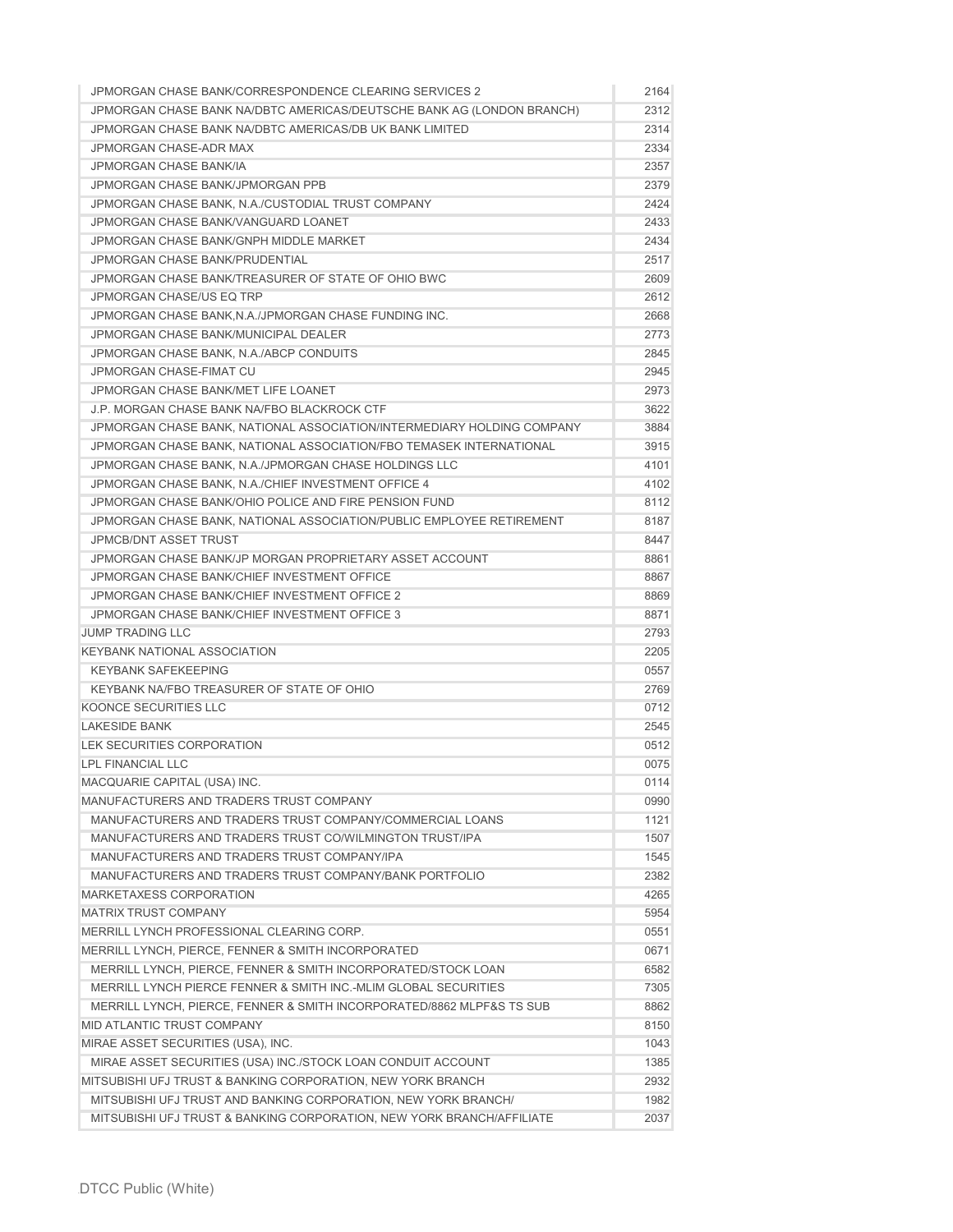| JPMORGAN CHASE BANK/CORRESPONDENCE CLEARING SERVICES 2                 | 2164 |
|------------------------------------------------------------------------|------|
| JPMORGAN CHASE BANK NA/DBTC AMERICAS/DEUTSCHE BANK AG (LONDON BRANCH)  | 2312 |
| JPMORGAN CHASE BANK NA/DBTC AMERICAS/DB UK BANK LIMITED                | 2314 |
| JPMORGAN CHASE-ADR MAX                                                 | 2334 |
| <b>JPMORGAN CHASE BANK/IA</b>                                          | 2357 |
| <b>JPMORGAN CHASE BANK/JPMORGAN PPB</b>                                | 2379 |
| JPMORGAN CHASE BANK, N.A./CUSTODIAL TRUST COMPANY                      | 2424 |
| JPMORGAN CHASE BANK/VANGUARD LOANET                                    | 2433 |
| JPMORGAN CHASE BANK/GNPH MIDDLE MARKET                                 | 2434 |
| <b>JPMORGAN CHASE BANK/PRUDENTIAL</b>                                  | 2517 |
| JPMORGAN CHASE BANK/TREASURER OF STATE OF OHIO BWC                     | 2609 |
| <b>JPMORGAN CHASE/US EQ TRP</b>                                        | 2612 |
| JPMORGAN CHASE BANK, N.A. /JPMORGAN CHASE FUNDING INC.                 | 2668 |
| JPMORGAN CHASE BANK/MUNICIPAL DEALER                                   | 2773 |
| JPMORGAN CHASE BANK, N.A./ABCP CONDUITS                                | 2845 |
| JPMORGAN CHASE-FIMAT CU                                                | 2945 |
| <b>JPMORGAN CHASE BANK/MET LIFE LOANET</b>                             | 2973 |
| J.P. MORGAN CHASE BANK NA/FBO BLACKROCK CTF                            | 3622 |
| JPMORGAN CHASE BANK, NATIONAL ASSOCIATION/INTERMEDIARY HOLDING COMPANY | 3884 |
| JPMORGAN CHASE BANK, NATIONAL ASSOCIATION/FBO TEMASEK INTERNATIONAL    | 3915 |
| JPMORGAN CHASE BANK, N.A./JPMORGAN CHASE HOLDINGS LLC                  | 4101 |
| JPMORGAN CHASE BANK, N.A./CHIEF INVESTMENT OFFICE 4                    | 4102 |
| JPMORGAN CHASE BANK/OHIO POLICE AND FIRE PENSION FUND                  | 8112 |
| JPMORGAN CHASE BANK, NATIONAL ASSOCIATION/PUBLIC EMPLOYEE RETIREMENT   | 8187 |
| <b>JPMCB/DNT ASSET TRUST</b>                                           | 8447 |
| JPMORGAN CHASE BANK/JP MORGAN PROPRIETARY ASSET ACCOUNT                | 8861 |
| JPMORGAN CHASE BANK/CHIEF INVESTMENT OFFICE                            | 8867 |
| JPMORGAN CHASE BANK/CHIEF INVESTMENT OFFICE 2                          | 8869 |
| <b>JPMORGAN CHASE BANK/CHIEF INVESTMENT OFFICE 3</b>                   | 8871 |
| <b>JUMP TRADING LLC</b>                                                | 2793 |
| <b>KEYBANK NATIONAL ASSOCIATION</b>                                    | 2205 |
| <b>KEYBANK SAFEKEEPING</b>                                             | 0557 |
| KEYBANK NA/FBO TREASURER OF STATE OF OHIO                              | 2769 |
| KOONCE SECURITIES LLC                                                  | 0712 |
| <b>LAKESIDE BANK</b>                                                   | 2545 |
| LEK SECURITIES CORPORATION                                             | 0512 |
| <b>LPL FINANCIAL LLC</b>                                               | 0075 |
| MACQUARIE CAPITAL (USA) INC.                                           | 0114 |
| MANUFACTURERS AND TRADERS TRUST COMPANY                                | 0990 |
| MANUFACTURERS AND TRADERS TRUST COMPANY/COMMERCIAL LOANS               | 1121 |
| MANUFACTURERS AND TRADERS TRUST CO/WILMINGTON TRUST/IPA                | 1507 |
| MANUFACTURERS AND TRADERS TRUST COMPANY/IPA                            | 1545 |
| MANUFACTURERS AND TRADERS TRUST COMPANY/BANK PORTFOLIO                 | 2382 |
| <b>MARKETAXESS CORPORATION</b>                                         | 4265 |
| <b>MATRIX TRUST COMPANY</b>                                            | 5954 |
| MERRILL LYNCH PROFESSIONAL CLEARING CORP.                              | 0551 |
| MERRILL LYNCH, PIERCE, FENNER & SMITH INCORPORATED                     | 0671 |
| MERRILL LYNCH, PIERCE, FENNER & SMITH INCORPORATED/STOCK LOAN          | 6582 |
| MERRILL LYNCH PIERCE FENNER & SMITH INC.-MLIM GLOBAL SECURITIES        | 7305 |
| MERRILL LYNCH, PIERCE, FENNER & SMITH INCORPORATED/8862 MLPF&S TS SUB  | 8862 |
| MID ATLANTIC TRUST COMPANY                                             | 8150 |
| MIRAE ASSET SECURITIES (USA), INC.                                     | 1043 |
| MIRAE ASSET SECURITIES (USA) INC./STOCK LOAN CONDUIT ACCOUNT           | 1385 |
| MITSUBISHI UFJ TRUST & BANKING CORPORATION, NEW YORK BRANCH            | 2932 |
| MITSUBISHI UFJ TRUST AND BANKING CORPORATION, NEW YORK BRANCH/         | 1982 |
| MITSUBISHI UFJ TRUST & BANKING CORPORATION, NEW YORK BRANCH/AFFILIATE  | 2037 |
|                                                                        |      |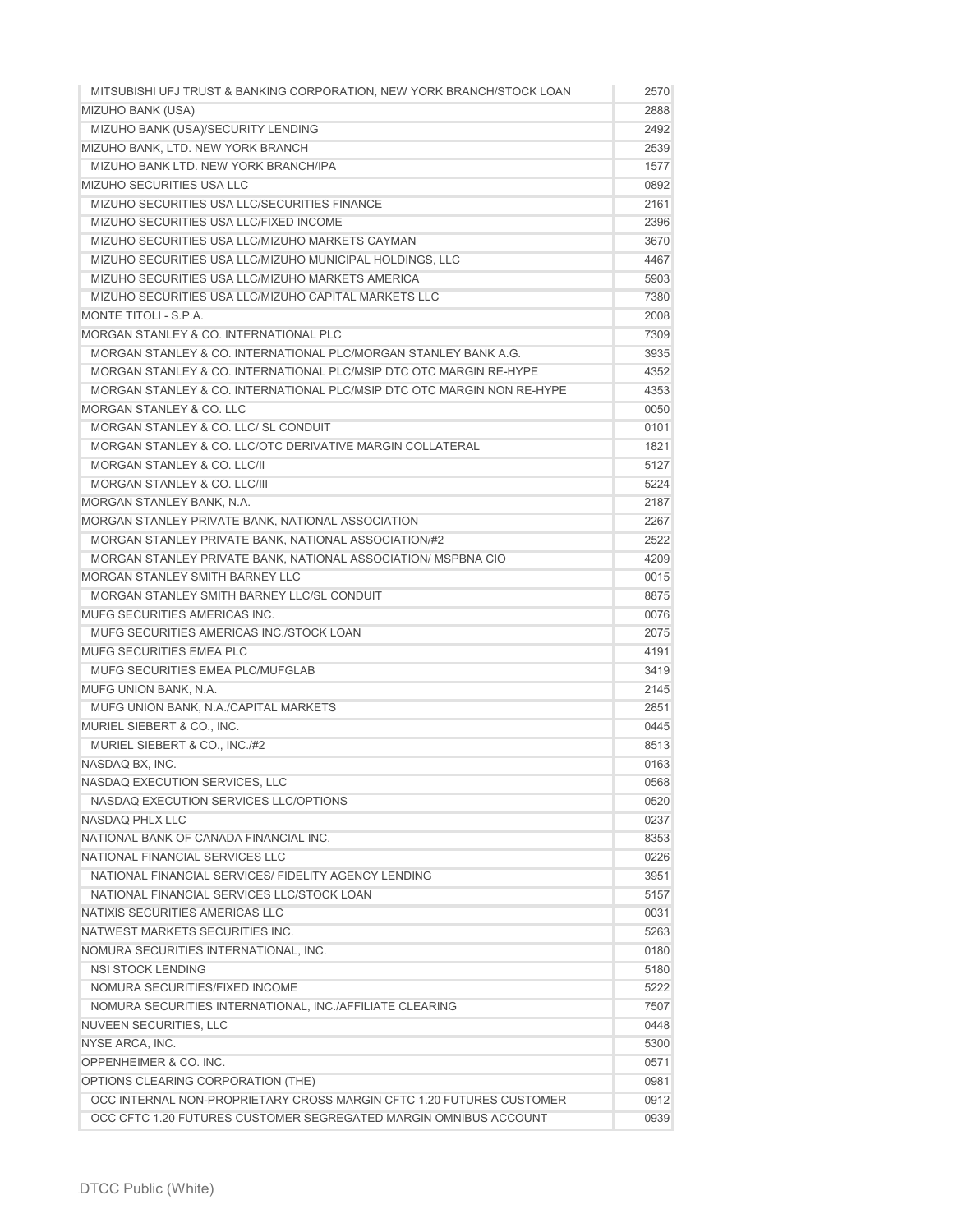| MITSUBISHI UFJ TRUST & BANKING CORPORATION. NEW YORK BRANCH/STOCK LOAN | 2570 |
|------------------------------------------------------------------------|------|
| <b>MIZUHO BANK (USA)</b>                                               | 2888 |
| MIZUHO BANK (USA)/SECURITY LENDING                                     | 2492 |
| MIZUHO BANK, LTD. NEW YORK BRANCH                                      | 2539 |
| MIZUHO BANK LTD. NEW YORK BRANCH/IPA                                   | 1577 |
| MIZUHO SECURITIES USA LLC                                              | 0892 |
| MIZUHO SECURITIES USA LLC/SECURITIES FINANCE                           | 2161 |
| MIZUHO SECURITIES USA LLC/FIXED INCOME                                 | 2396 |
| MIZUHO SECURITIES USA LLC/MIZUHO MARKETS CAYMAN                        | 3670 |
| MIZUHO SECURITIES USA LLC/MIZUHO MUNICIPAL HOLDINGS, LLC               | 4467 |
| MIZUHO SECURITIES USA LLC/MIZUHO MARKETS AMERICA                       | 5903 |
| MIZUHO SECURITIES USA LLC/MIZUHO CAPITAL MARKETS LLC                   | 7380 |
| MONTE TITOLI - S.P.A.                                                  | 2008 |
| MORGAN STANLEY & CO. INTERNATIONAL PLC                                 | 7309 |
| MORGAN STANLEY & CO. INTERNATIONAL PLC/MORGAN STANLEY BANK A.G.        | 3935 |
| MORGAN STANLEY & CO. INTERNATIONAL PLC/MSIP DTC OTC MARGIN RE-HYPE     | 4352 |
| MORGAN STANLEY & CO. INTERNATIONAL PLC/MSIP DTC OTC MARGIN NON RE-HYPE | 4353 |
| <b>MORGAN STANLEY &amp; CO. LLC</b>                                    | 0050 |
| MORGAN STANLEY & CO. LLC/ SL CONDUIT                                   | 0101 |
| MORGAN STANLEY & CO. LLC/OTC DERIVATIVE MARGIN COLLATERAL              | 1821 |
| <b>MORGAN STANLEY &amp; CO. LLC/II</b>                                 | 5127 |
| MORGAN STANLEY & CO. LLC/III                                           | 5224 |
| MORGAN STANLEY BANK, N.A.                                              | 2187 |
| MORGAN STANLEY PRIVATE BANK, NATIONAL ASSOCIATION                      | 2267 |
| MORGAN STANLEY PRIVATE BANK, NATIONAL ASSOCIATION/#2                   | 2522 |
| MORGAN STANLEY PRIVATE BANK, NATIONAL ASSOCIATION/ MSPBNA CIO          | 4209 |
| MORGAN STANLEY SMITH BARNEY LLC                                        | 0015 |
| MORGAN STANLEY SMITH BARNEY LLC/SL CONDUIT                             | 8875 |
| MUFG SECURITIES AMERICAS INC.                                          | 0076 |
| MUFG SECURITIES AMERICAS INC./STOCK LOAN                               | 2075 |
| <b>MUFG SECURITIES EMEA PLC</b>                                        | 4191 |
| MUFG SECURITIES EMEA PLC/MUFGLAB                                       | 3419 |
| <b>MUFG UNION BANK, N.A.</b>                                           | 2145 |
| MUFG UNION BANK, N.A./CAPITAL MARKETS                                  | 2851 |
| MURIEL SIEBERT & CO., INC.                                             | 0445 |
| MURIEL SIEBERT & CO., INC./#2                                          | 8513 |
| NASDAQ BX, INC.                                                        | 0163 |
| NASDAQ EXECUTION SERVICES, LLC                                         | 0568 |
| NASDAQ EXECUTION SERVICES LLC/OPTIONS                                  | 0520 |
| NASDAQ PHLX LLC                                                        | 0237 |
| NATIONAL BANK OF CANADA FINANCIAL INC.                                 | 8353 |
| NATIONAL FINANCIAL SERVICES LLC                                        | 0226 |
| NATIONAL FINANCIAL SERVICES/ FIDELITY AGENCY LENDING                   | 3951 |
| NATIONAL FINANCIAL SERVICES LLC/STOCK LOAN                             | 5157 |
| NATIXIS SECURITIES AMERICAS LLC                                        | 0031 |
| NATWEST MARKETS SECURITIES INC.                                        | 5263 |
| NOMURA SECURITIES INTERNATIONAL, INC.                                  | 0180 |
| <b>NSI STOCK LENDING</b>                                               | 5180 |
| NOMURA SECURITIES/FIXED INCOME                                         | 5222 |
|                                                                        |      |
| NOMURA SECURITIES INTERNATIONAL, INC./AFFILIATE CLEARING               | 7507 |
| <b>NUVEEN SECURITIES, LLC</b>                                          | 0448 |
| NYSE ARCA, INC.                                                        | 5300 |
| OPPENHEIMER & CO. INC.                                                 | 0571 |
| OPTIONS CLEARING CORPORATION (THE)                                     | 0981 |
| OCC INTERNAL NON-PROPRIETARY CROSS MARGIN CFTC 1.20 FUTURES CUSTOMER   | 0912 |
| OCC CFTC 1.20 FUTURES CUSTOMER SEGREGATED MARGIN OMNIBUS ACCOUNT       | 0939 |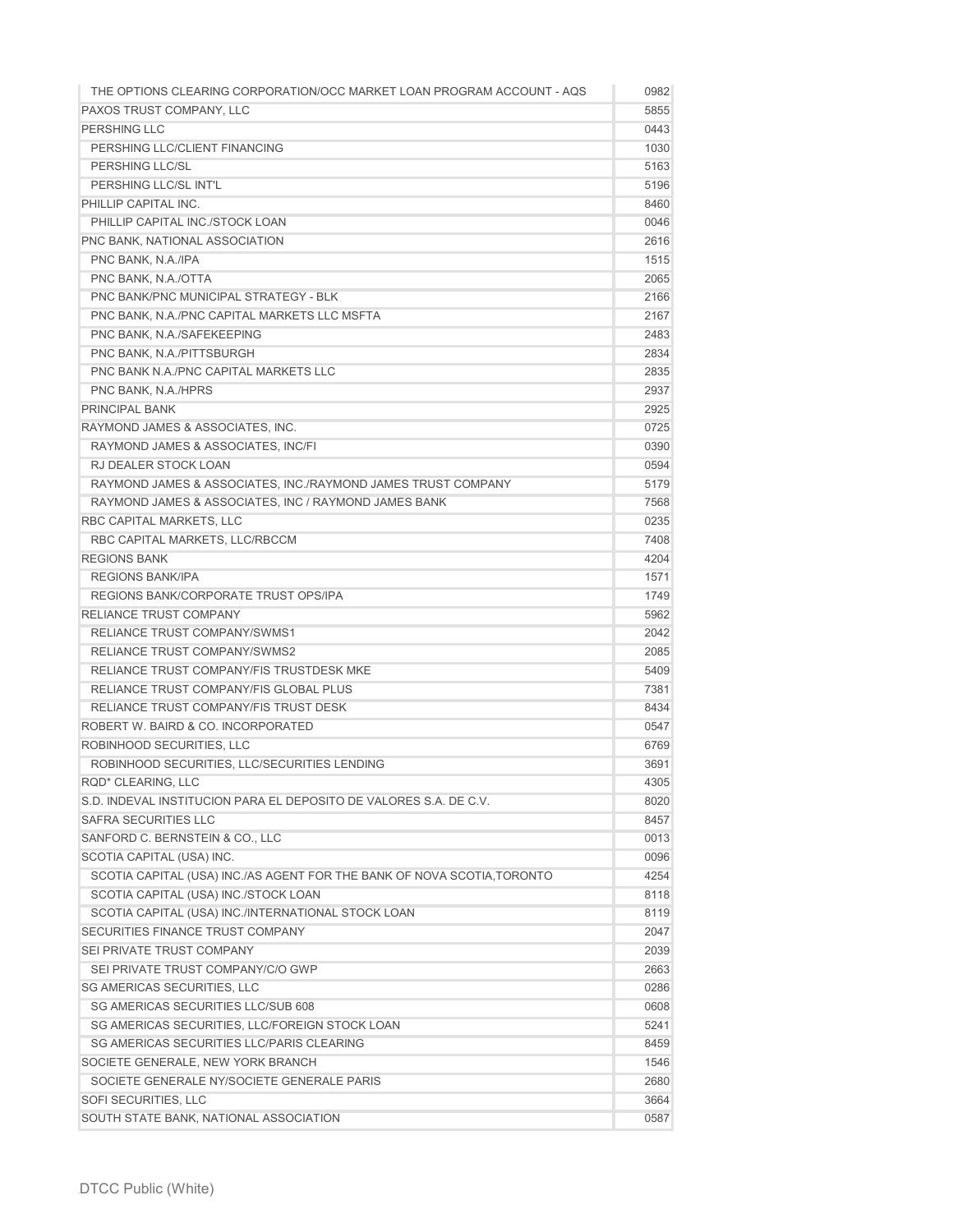| THE OPTIONS CLEARING CORPORATION/OCC MARKET LOAN PROGRAM ACCOUNT - AQS  | 0982 |
|-------------------------------------------------------------------------|------|
| PAXOS TRUST COMPANY, LLC                                                | 5855 |
| PERSHING LLC                                                            | 0443 |
| PERSHING LLC/CLIENT FINANCING                                           | 1030 |
| PERSHING LLC/SL                                                         | 5163 |
| PERSHING LLC/SL INT'L                                                   | 5196 |
| PHILLIP CAPITAL INC.                                                    | 8460 |
| PHILLIP CAPITAL INC./STOCK LOAN                                         | 0046 |
| PNC BANK, NATIONAL ASSOCIATION                                          | 2616 |
| PNC BANK, N.A./IPA                                                      | 1515 |
| PNC BANK, N.A./OTTA                                                     | 2065 |
| PNC BANK/PNC MUNICIPAL STRATEGY - BLK                                   | 2166 |
| PNC BANK, N.A./PNC CAPITAL MARKETS LLC MSFTA                            | 2167 |
| PNC BANK, N.A./SAFEKEEPING                                              | 2483 |
| PNC BANK, N.A./PITTSBURGH                                               | 2834 |
| PNC BANK N.A./PNC CAPITAL MARKETS LLC                                   | 2835 |
| PNC BANK, N.A./HPRS                                                     | 2937 |
| <b>PRINCIPAL BANK</b>                                                   | 2925 |
| RAYMOND JAMES & ASSOCIATES, INC.                                        | 0725 |
| RAYMOND JAMES & ASSOCIATES, INC/FI                                      | 0390 |
| <b>RJ DEALER STOCK LOAN</b>                                             | 0594 |
| RAYMOND JAMES & ASSOCIATES, INC./RAYMOND JAMES TRUST COMPANY            | 5179 |
| RAYMOND JAMES & ASSOCIATES, INC / RAYMOND JAMES BANK                    | 7568 |
| RBC CAPITAL MARKETS, LLC                                                | 0235 |
| RBC CAPITAL MARKETS, LLC/RBCCM                                          | 7408 |
| <b>REGIONS BANK</b>                                                     | 4204 |
| <b>REGIONS BANK/IPA</b>                                                 | 1571 |
| REGIONS BANK/CORPORATE TRUST OPS/IPA                                    | 1749 |
| <b>RELIANCE TRUST COMPANY</b>                                           | 5962 |
| <b>RELIANCE TRUST COMPANY/SWMS1</b>                                     | 2042 |
| <b>RELIANCE TRUST COMPANY/SWMS2</b>                                     | 2085 |
| RELIANCE TRUST COMPANY/FIS TRUSTDESK MKE                                | 5409 |
| RELIANCE TRUST COMPANY/FIS GLOBAL PLUS                                  | 7381 |
| RELIANCE TRUST COMPANY/FIS TRUST DESK                                   | 8434 |
| ROBERT W. BAIRD & CO. INCORPORATED                                      | 0547 |
| ROBINHOOD SECURITIES, LLC                                               | 6769 |
| ROBINHOOD SECURITIES, LLC/SECURITIES LENDING                            | 3691 |
| RQD* CLEARING, LLC                                                      | 4305 |
| S.D. INDEVAL INSTITUCION PARA EL DEPOSITO DE VALORES S.A. DE C.V.       | 8020 |
| <b>SAFRA SECURITIES LLC</b>                                             | 8457 |
| SANFORD C. BERNSTEIN & CO., LLC                                         | 0013 |
| SCOTIA CAPITAL (USA) INC.                                               | 0096 |
| SCOTIA CAPITAL (USA) INC./AS AGENT FOR THE BANK OF NOVA SCOTIA, TORONTO | 4254 |
| SCOTIA CAPITAL (USA) INC./STOCK LOAN                                    | 8118 |
| SCOTIA CAPITAL (USA) INC./INTERNATIONAL STOCK LOAN                      | 8119 |
| SECURITIES FINANCE TRUST COMPANY                                        | 2047 |
| SEI PRIVATE TRUST COMPANY                                               | 2039 |
| SEI PRIVATE TRUST COMPANY/C/O GWP                                       | 2663 |
| SG AMERICAS SECURITIES, LLC                                             | 0286 |
| SG AMERICAS SECURITIES LLC/SUB 608                                      | 0608 |
| SG AMERICAS SECURITIES, LLC/FOREIGN STOCK LOAN                          | 5241 |
| SG AMERICAS SECURITIES LLC/PARIS CLEARING                               | 8459 |
| SOCIETE GENERALE, NEW YORK BRANCH                                       | 1546 |
| SOCIETE GENERALE NY/SOCIETE GENERALE PARIS                              | 2680 |
| SOFI SECURITIES, LLC                                                    | 3664 |
| SOUTH STATE BANK, NATIONAL ASSOCIATION                                  | 0587 |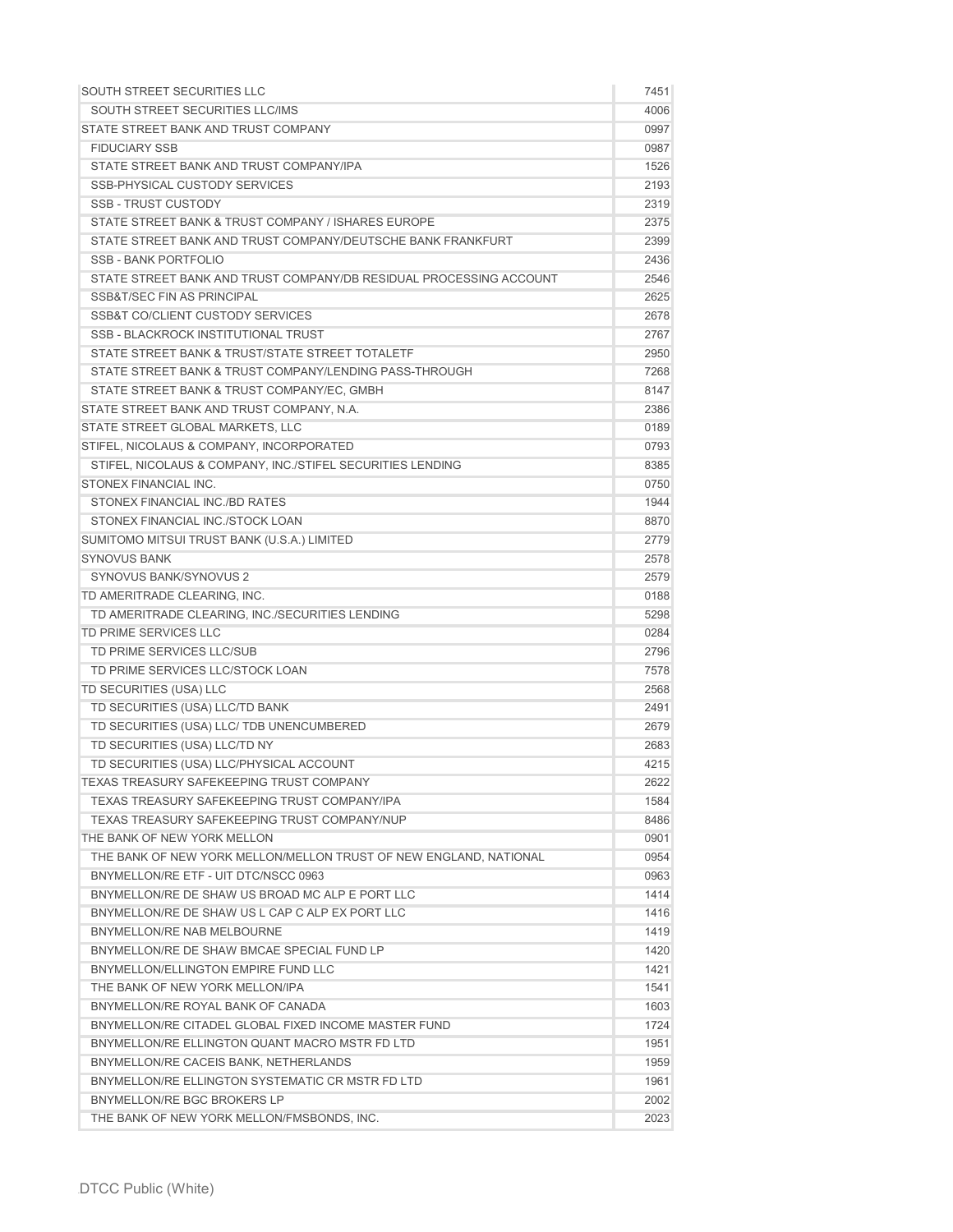| SOUTH STREET SECURITIES LLC                                        | 7451 |
|--------------------------------------------------------------------|------|
| SOUTH STREET SECURITIES LLC/IMS                                    | 4006 |
| STATE STREET BANK AND TRUST COMPANY                                | 0997 |
| <b>FIDUCIARY SSB</b>                                               | 0987 |
| STATE STREET BANK AND TRUST COMPANY/IPA                            | 1526 |
| <b>SSB-PHYSICAL CUSTODY SERVICES</b>                               | 2193 |
| <b>SSB - TRUST CUSTODY</b>                                         | 2319 |
| STATE STREET BANK & TRUST COMPANY / ISHARES EUROPE                 | 2375 |
| STATE STREET BANK AND TRUST COMPANY/DEUTSCHE BANK FRANKFURT        | 2399 |
| SSB-BANK PORTFOLIO                                                 | 2436 |
| STATE STREET BANK AND TRUST COMPANY/DB RESIDUAL PROCESSING ACCOUNT | 2546 |
| SSB&T/SEC FIN AS PRINCIPAL                                         | 2625 |
| <b>SSB&amp;T CO/CLIENT CUSTODY SERVICES</b>                        | 2678 |
| <b>SSB - BLACKROCK INSTITUTIONAL TRUST</b>                         | 2767 |
| STATE STREET BANK & TRUST/STATE STREET TOTALETF                    | 2950 |
| STATE STREET BANK & TRUST COMPANY/LENDING PASS-THROUGH             | 7268 |
| STATE STREET BANK & TRUST COMPANY/EC, GMBH                         | 8147 |
| STATE STREET BANK AND TRUST COMPANY, N.A.                          | 2386 |
| STATE STREET GLOBAL MARKETS, LLC                                   | 0189 |
| STIFEL, NICOLAUS & COMPANY, INCORPORATED                           | 0793 |
| STIFEL, NICOLAUS & COMPANY, INC./STIFEL SECURITIES LENDING         | 8385 |
| STONEX FINANCIAL INC.                                              | 0750 |
| STONEX FINANCIAL INC./BD RATES                                     | 1944 |
| STONEX FINANCIAL INC./STOCK LOAN                                   | 8870 |
| SUMITOMO MITSUI TRUST BANK (U.S.A.) LIMITED                        | 2779 |
| <b>SYNOVUS BANK</b>                                                | 2578 |
| <b>SYNOVUS BANK/SYNOVUS 2</b>                                      | 2579 |
| TD AMERITRADE CLEARING, INC.                                       | 0188 |
| TD AMERITRADE CLEARING, INC./SECURITIES LENDING                    | 5298 |
| TD PRIME SERVICES LLC                                              | 0284 |
| TD PRIME SERVICES LLC/SUB                                          | 2796 |
| TD PRIME SERVICES LLC/STOCK LOAN                                   | 7578 |
| TD SECURITIES (USA) LLC                                            | 2568 |
|                                                                    |      |
| TD SECURITIES (USA) LLC/TD BANK                                    | 2491 |
| TD SECURITIES (USA) LLC/ TDB UNENCUMBERED                          | 2679 |
| TD SECURITIES (USA) LLC/TD NY                                      | 2683 |
| TD SECURITIES (USA) LLC/PHYSICAL ACCOUNT                           | 4215 |
| <b>TEXAS TREASURY SAFEKEEPING TRUST COMPANY</b>                    | 2622 |
| <b>TEXAS TREASURY SAFEKEEPING TRUST COMPANY/IPA</b>                | 1584 |
| TEXAS TREASURY SAFEKEEPING TRUST COMPANY/NUP                       | 8486 |
| THE BANK OF NEW YORK MELLON                                        | 0901 |
| THE BANK OF NEW YORK MELLON/MELLON TRUST OF NEW ENGLAND, NATIONAL  | 0954 |
| BNYMELLON/RE ETF - UIT DTC/NSCC 0963                               | 0963 |
| BNYMELLON/RE DE SHAW US BROAD MC ALP E PORT LLC                    | 1414 |
| BNYMELLON/RE DE SHAW US L CAP C ALP EX PORT LLC                    | 1416 |
| BNYMELLON/RE NAB MELBOURNE                                         | 1419 |
| BNYMELLON/RE DE SHAW BMCAE SPECIAL FUND LP                         | 1420 |
| BNYMELLON/ELLINGTON EMPIRE FUND LLC                                | 1421 |
| THE BANK OF NEW YORK MELLON/IPA                                    | 1541 |
| BNYMELLON/RE ROYAL BANK OF CANADA                                  | 1603 |
| BNYMELLON/RE CITADEL GLOBAL FIXED INCOME MASTER FUND               | 1724 |
| BNYMELLON/RE ELLINGTON QUANT MACRO MSTR FD LTD                     | 1951 |
| BNYMELLON/RE CACEIS BANK, NETHERLANDS                              | 1959 |
| BNYMELLON/RE ELLINGTON SYSTEMATIC CR MSTR FD LTD                   | 1961 |
| BNYMELLON/RE BGC BROKERS LP                                        | 2002 |
| THE BANK OF NEW YORK MELLON/FMSBONDS, INC.                         | 2023 |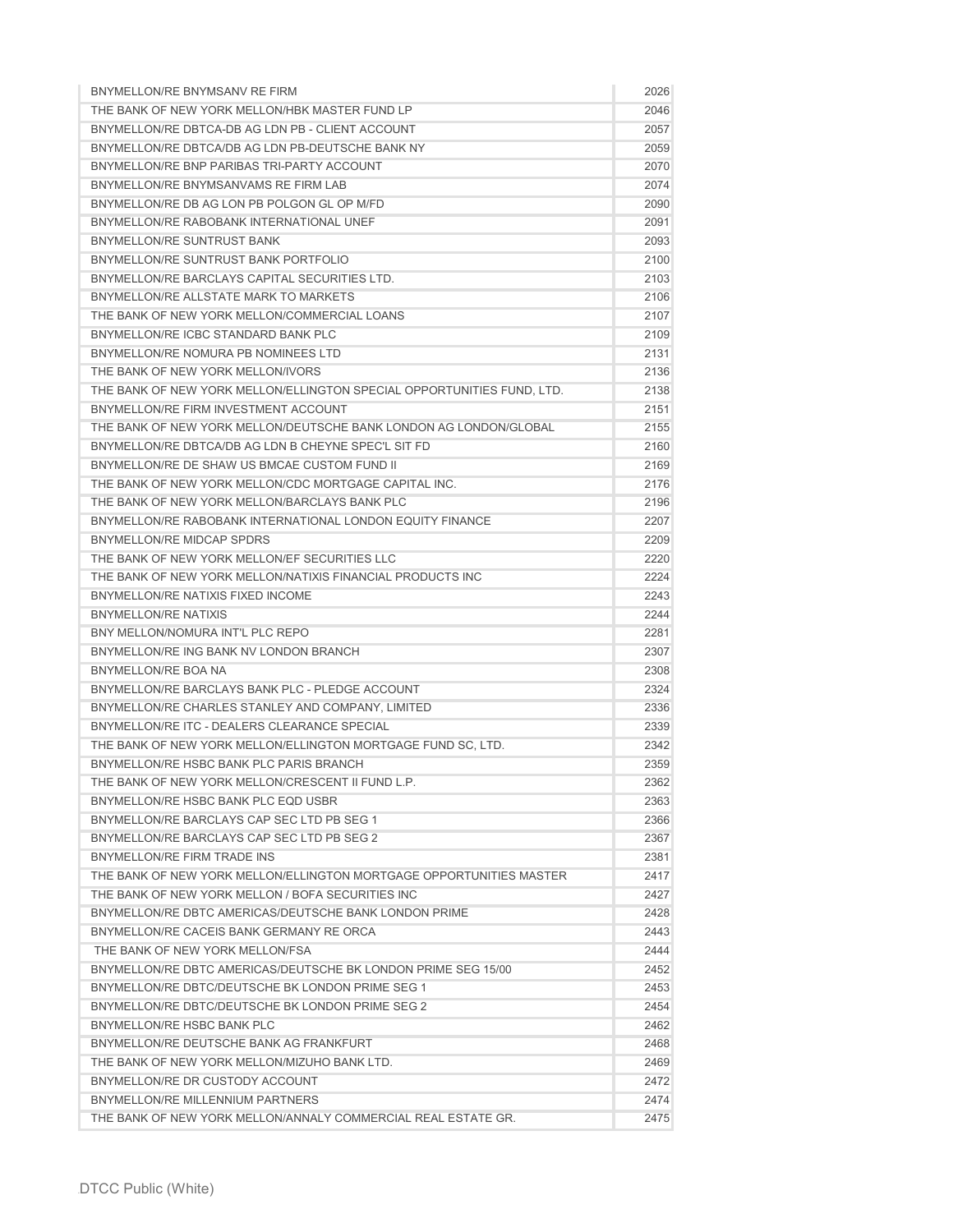| BNYMELLON/RE BNYMSANV RE FIRM                                          | 2026 |
|------------------------------------------------------------------------|------|
| THE BANK OF NEW YORK MELLON/HBK MASTER FUND LP                         | 2046 |
| BNYMELLON/RE DBTCA-DB AG LDN PB - CLIENT ACCOUNT                       | 2057 |
| BNYMELLON/RE DBTCA/DB AG LDN PB-DEUTSCHE BANK NY                       | 2059 |
| BNYMELLON/RE BNP PARIBAS TRI-PARTY ACCOUNT                             | 2070 |
| BNYMELLON/RE BNYMSANVAMS RE FIRM LAB                                   | 2074 |
| BNYMELLON/RE DB AG LON PB POLGON GL OP M/FD                            | 2090 |
| BNYMELLON/RE RABOBANK INTERNATIONAL UNEF                               | 2091 |
| <b>BNYMELLON/RE SUNTRUST BANK</b>                                      | 2093 |
| BNYMELLON/RE SUNTRUST BANK PORTEOLIO                                   | 2100 |
| BNYMELLON/RE BARCLAYS CAPITAL SECURITIES LTD.                          | 2103 |
| BNYMELLON/RE ALLSTATE MARK TO MARKETS                                  | 2106 |
| THE BANK OF NEW YORK MELLON/COMMERCIAL LOANS                           | 2107 |
| BNYMELLON/RE ICBC STANDARD BANK PLC                                    | 2109 |
| BNYMELLON/RE NOMURA PB NOMINEES LTD                                    | 2131 |
| THE BANK OF NEW YORK MELLON/IVORS                                      | 2136 |
| THE BANK OF NEW YORK MELLON/ELLINGTON SPECIAL OPPORTUNITIES FUND, LTD. | 2138 |
| BNYMELLON/RE FIRM INVESTMENT ACCOUNT                                   | 2151 |
| THE BANK OF NEW YORK MELLON/DEUTSCHE BANK LONDON AG LONDON/GLOBAL      | 2155 |
| BNYMELLON/RE DBTCA/DB AG LDN B CHEYNE SPEC'L SIT FD                    | 2160 |
| BNYMELLON/RE DE SHAW US BMCAE CUSTOM FUND II                           | 2169 |
| THE BANK OF NEW YORK MELLON/CDC MORTGAGE CAPITAL INC.                  | 2176 |
| THE BANK OF NEW YORK MELLON/BARCLAYS BANK PLC                          | 2196 |
| BNYMELLON/RE RABOBANK INTERNATIONAL LONDON EQUITY FINANCE              | 2207 |
| BNYMELLON/RE MIDCAP SPDRS                                              | 2209 |
| THE BANK OF NEW YORK MELLON/EF SECURITIES LLC                          | 2220 |
| THE BANK OF NEW YORK MELLON/NATIXIS FINANCIAL PRODUCTS INC             | 2224 |
| BNYMELLON/RE NATIXIS FIXED INCOME                                      | 2243 |
| <b>BNYMELLON/RE NATIXIS</b>                                            | 2244 |
| BNY MELLON/NOMURA INT'L PLC REPO                                       | 2281 |
| BNYMELLON/RE ING BANK NV LONDON BRANCH                                 | 2307 |
| BNYMELLON/RE BOA NA                                                    | 2308 |
| BNYMELLON/RE BARCLAYS BANK PLC - PLEDGE ACCOUNT                        | 2324 |
| BNYMELLON/RE CHARLES STANLEY AND COMPANY, LIMITED                      | 2336 |
| BNYMELLON/RE ITC - DEALERS CLEARANCE SPECIAL                           | 2339 |
| THE BANK OF NEW YORK MELLON/ELLINGTON MORTGAGE FUND SC, LTD.           | 2342 |
| BNYMELLON/RE HSBC BANK PLC PARIS BRANCH                                | 2359 |
| THE BANK OF NEW YORK MELLON/CRESCENT II FUND L.P.                      | 2362 |
| BNYMELLON/RE HSBC BANK PLC EQD USBR                                    | 2363 |
| BNYMELLON/RE BARCLAYS CAP SEC LTD PB SEG 1                             | 2366 |
| BNYMELLON/RE BARCLAYS CAP SEC LTD PB SEG 2                             | 2367 |
| BNYMELLON/RE FIRM TRADE INS                                            | 2381 |
| THE BANK OF NEW YORK MELLON/ELLINGTON MORTGAGE OPPORTUNITIES MASTER    | 2417 |
| THE BANK OF NEW YORK MELLON / BOFA SECURITIES INC                      | 2427 |
| BNYMELLON/RE DBTC AMERICAS/DEUTSCHE BANK LONDON PRIME                  | 2428 |
| BNYMELLON/RE CACEIS BANK GERMANY RE ORCA                               | 2443 |
| THE BANK OF NEW YORK MELLON/FSA                                        | 2444 |
| BNYMELLON/RE DBTC AMERICAS/DEUTSCHE BK LONDON PRIME SEG 15/00          | 2452 |
| BNYMELLON/RE DBTC/DEUTSCHE BK LONDON PRIME SEG 1                       | 2453 |
| BNYMELLON/RE DBTC/DEUTSCHE BK LONDON PRIME SEG 2                       | 2454 |
| BNYMELLON/RE HSBC BANK PLC                                             | 2462 |
| BNYMELLON/RE DEUTSCHE BANK AG FRANKFURT                                | 2468 |
| THE BANK OF NEW YORK MELLON/MIZUHO BANK LTD.                           | 2469 |
| BNYMELLON/RE DR CUSTODY ACCOUNT                                        | 2472 |
| BNYMELLON/RE MILLENNIUM PARTNERS                                       | 2474 |
| THE BANK OF NEW YORK MELLON/ANNALY COMMERCIAL REAL ESTATE GR.          | 2475 |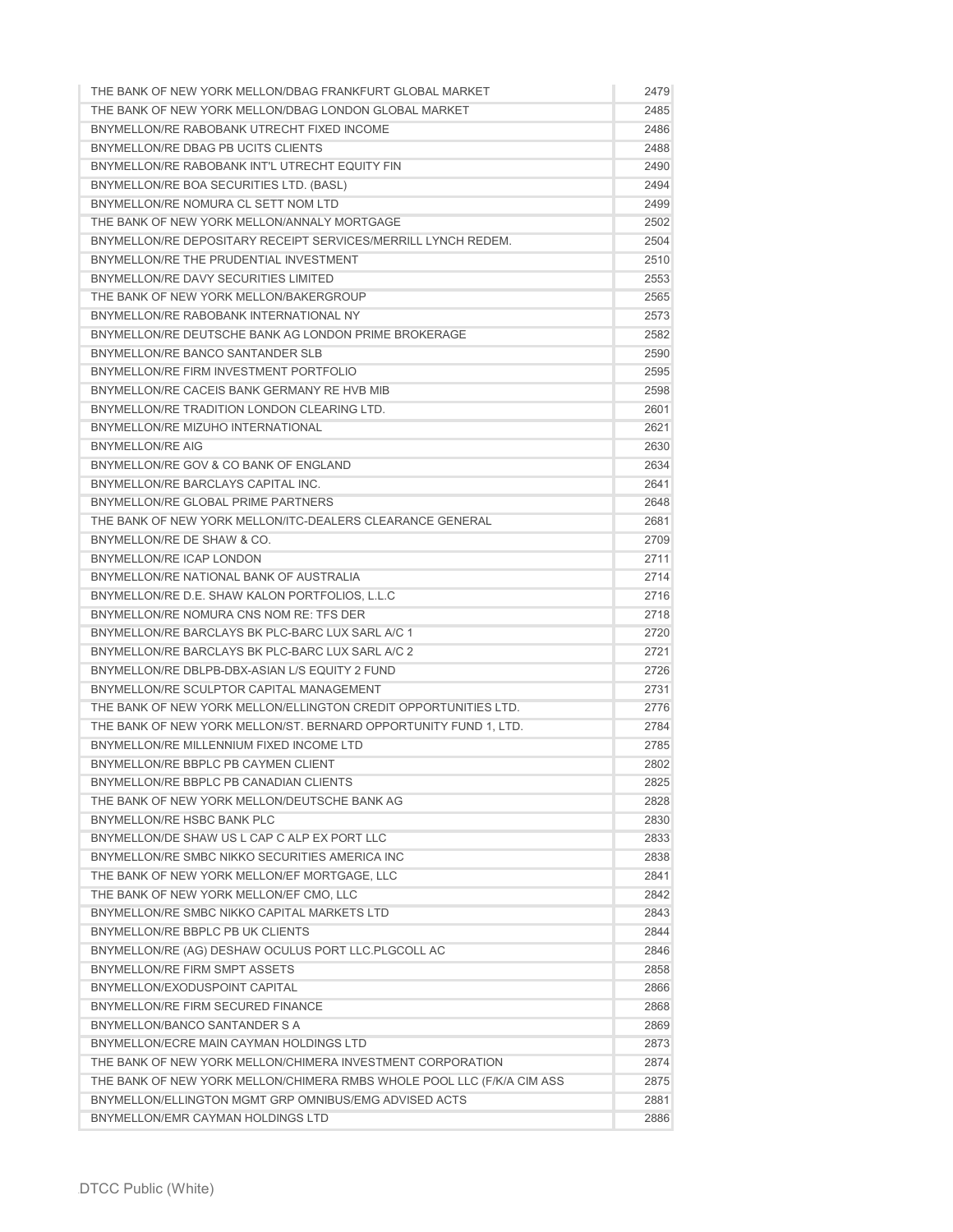| THE BANK OF NEW YORK MELLON/DBAG FRANKFURT GLOBAL MARKET               | 2479 |
|------------------------------------------------------------------------|------|
| THE BANK OF NEW YORK MELLON/DBAG LONDON GLOBAL MARKET                  | 2485 |
| BNYMELLON/RE RABOBANK UTRECHT FIXED INCOME                             | 2486 |
| BNYMELLON/RE DBAG PB UCITS CLIENTS                                     | 2488 |
| BNYMELLON/RE RABOBANK INT'L UTRECHT EQUITY FIN                         | 2490 |
| BNYMELLON/RE BOA SECURITIES LTD. (BASL)                                | 2494 |
| BNYMELLON/RE NOMURA CL SETT NOM LTD                                    | 2499 |
| THE BANK OF NEW YORK MELLON/ANNALY MORTGAGE                            | 2502 |
| BNYMELLON/RE DEPOSITARY RECEIPT SERVICES/MERRILL LYNCH REDEM.          | 2504 |
| BNYMELLON/RE THE PRUDENTIAL INVESTMENT                                 | 2510 |
| BNYMELLON/RE DAVY SECURITIES LIMITED                                   | 2553 |
| THE BANK OF NEW YORK MELLON/BAKERGROUP                                 | 2565 |
| BNYMELLON/RE RABOBANK INTERNATIONAL NY                                 | 2573 |
| BNYMELLON/RE DEUTSCHE BANK AG LONDON PRIME BROKERAGE                   | 2582 |
| BNYMELLON/RE BANCO SANTANDER SLB                                       | 2590 |
| BNYMELLON/RE FIRM INVESTMENT PORTFOLIO                                 | 2595 |
| BNYMELLON/RE CACEIS BANK GERMANY RE HVB MIB                            | 2598 |
| BNYMELLON/RE TRADITION LONDON CLEARING LTD.                            | 2601 |
| BNYMELLON/RE MIZUHO INTERNATIONAL                                      | 2621 |
| <b>BNYMELLON/RE AIG</b>                                                | 2630 |
| BNYMELLON/RE GOV & CO BANK OF ENGLAND                                  | 2634 |
| BNYMELLON/RE BARCLAYS CAPITAL INC.                                     | 2641 |
| BNYMELLON/RE GLOBAL PRIME PARTNERS                                     | 2648 |
| THE BANK OF NEW YORK MELLON/ITC-DEALERS CLEARANCE GENERAL              | 2681 |
| BNYMELLON/RE DE SHAW & CO.                                             | 2709 |
| BNYMELLON/RE ICAP LONDON                                               | 2711 |
| BNYMELLON/RE NATIONAL BANK OF AUSTRALIA                                | 2714 |
| BNYMELLON/RE D.E. SHAW KALON PORTFOLIOS, L.L.C                         | 2716 |
| BNYMELLON/RE NOMURA CNS NOM RE: TFS DER                                | 2718 |
| BNYMELLON/RE BARCLAYS BK PLC-BARC LUX SARL A/C 1                       | 2720 |
| BNYMELLON/RE BARCLAYS BK PLC-BARC LUX SARL A/C 2                       | 2721 |
| BNYMELLON/RE DBLPB-DBX-ASIAN L/S EQUITY 2 FUND                         | 2726 |
| BNYMELLON/RE SCULPTOR CAPITAL MANAGEMENT                               | 2731 |
| THE BANK OF NEW YORK MELLON/ELLINGTON CREDIT OPPORTUNITIES LTD.        | 2776 |
| THE BANK OF NEW YORK MELLON/ST. BERNARD OPPORTUNITY FUND 1, LTD.       | 2784 |
| BNYMELLON/RE MILLENNIUM FIXED INCOME LTD                               | 2785 |
| BNYMELLON/RE BBPLC PB CAYMEN CLIENT                                    | 2802 |
| BNYMELLON/RE BBPLC PB CANADIAN CLIENTS                                 | 2825 |
| THE BANK OF NEW YORK MELLON/DEUTSCHE BANK AG                           | 2828 |
| BNYMELLON/RE HSBC BANK PLC                                             | 2830 |
| BNYMELLON/DE SHAW US L CAP C ALP EX PORT LLC                           | 2833 |
| BNYMELLON/RE SMBC NIKKO SECURITIES AMERICA INC                         | 2838 |
| THE BANK OF NEW YORK MELLON/EF MORTGAGE, LLC                           | 2841 |
| THE BANK OF NEW YORK MELLON/EF CMO, LLC                                | 2842 |
| BNYMELLON/RE SMBC NIKKO CAPITAL MARKETS LTD                            | 2843 |
| BNYMELLON/RE BBPLC PB UK CLIENTS                                       | 2844 |
| BNYMELLON/RE (AG) DESHAW OCULUS PORT LLC.PLGCOLL AC                    | 2846 |
| BNYMELLON/RE FIRM SMPT ASSETS                                          | 2858 |
| BNYMELLON/EXODUSPOINT CAPITAL                                          | 2866 |
| BNYMELLON/RE FIRM SECURED FINANCE                                      | 2868 |
| BNYMELLON/BANCO SANTANDER S A                                          | 2869 |
| BNYMELLON/ECRE MAIN CAYMAN HOLDINGS LTD                                | 2873 |
| THE BANK OF NEW YORK MELLON/CHIMERA INVESTMENT CORPORATION             | 2874 |
| THE BANK OF NEW YORK MELLON/CHIMERA RMBS WHOLE POOL LLC (F/K/A CIM ASS | 2875 |
| BNYMELLON/ELLINGTON MGMT GRP OMNIBUS/EMG ADVISED ACTS                  | 2881 |
| BNYMELLON/EMR CAYMAN HOLDINGS LTD                                      | 2886 |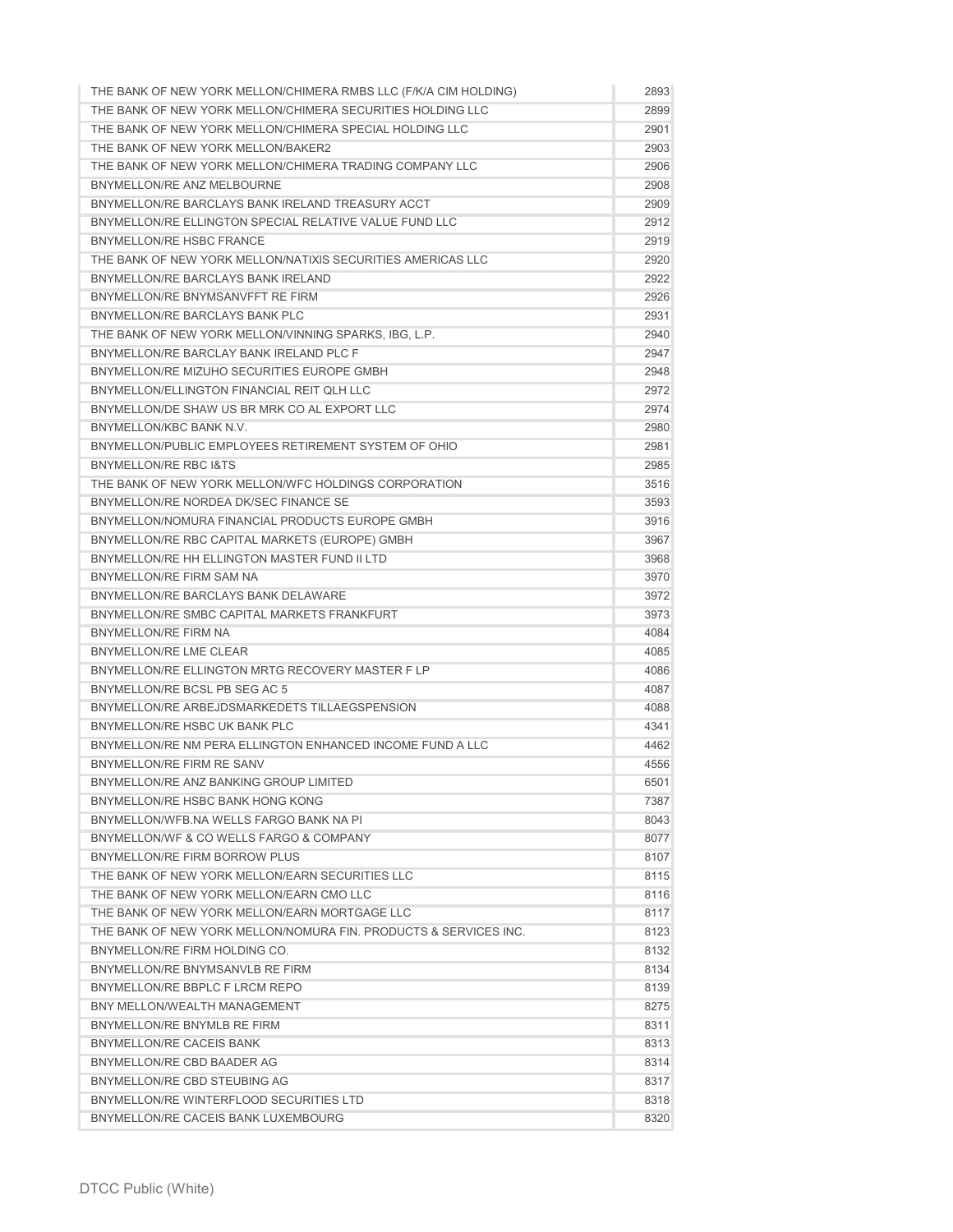| THE BANK OF NEW YORK MELLON/CHIMERA RMBS LLC (F/K/A CIM HOLDING) | 2893 |
|------------------------------------------------------------------|------|
| THE BANK OF NEW YORK MELLON/CHIMERA SECURITIES HOLDING LLC       | 2899 |
| THE BANK OF NEW YORK MELLON/CHIMERA SPECIAL HOLDING LLC          | 2901 |
| THE BANK OF NEW YORK MELLON/BAKER2                               | 2903 |
| THE BANK OF NEW YORK MELLON/CHIMERA TRADING COMPANY LLC          | 2906 |
| BNYMELLON/RE ANZ MELBOURNE                                       | 2908 |
| BNYMELLON/RE BARCLAYS BANK IRELAND TREASURY ACCT                 | 2909 |
|                                                                  |      |
| BNYMELLON/RE ELLINGTON SPECIAL RELATIVE VALUE FUND LLC           | 2912 |
| <b>BNYMELLON/RE HSBC FRANCE</b>                                  | 2919 |
| THE BANK OF NEW YORK MELLON/NATIXIS SECURITIES AMERICAS LLC      | 2920 |
| BNYMELLON/RE BARCLAYS BANK IRELAND                               | 2922 |
| BNYMELLON/RE BNYMSANVFFT RE FIRM                                 | 2926 |
| BNYMELLON/RE BARCLAYS BANK PLC                                   | 2931 |
| THE BANK OF NEW YORK MELLON/VINNING SPARKS, IBG, L.P.            | 2940 |
| BNYMELLON/RE BARCLAY BANK IRELAND PLC F                          | 2947 |
| BNYMELLON/RE MIZUHO SECURITIES EUROPE GMBH                       | 2948 |
| BNYMELLON/ELLINGTON FINANCIAL REIT QLH LLC                       | 2972 |
| BNYMELLON/DE SHAW US BR MRK CO AL EXPORT LLC                     | 2974 |
| BNYMELLON/KBC BANK N.V.                                          | 2980 |
| BNYMELLON/PUBLIC EMPLOYEES RETIREMENT SYSTEM OF OHIO             | 2981 |
| <b>BNYMELLON/RE RBC I&amp;TS</b>                                 | 2985 |
| THE BANK OF NEW YORK MELLON/WFC HOLDINGS CORPORATION             | 3516 |
| BNYMELLON/RE NORDEA DK/SEC FINANCE SE                            | 3593 |
| BNYMELLON/NOMURA FINANCIAL PRODUCTS EUROPE GMBH                  | 3916 |
| BNYMELLON/RE RBC CAPITAL MARKETS (EUROPE) GMBH                   | 3967 |
| BNYMELLON/RE HH ELLINGTON MASTER FUND II LTD                     |      |
|                                                                  | 3968 |
| BNYMELLON/RE FIRM SAM NA                                         | 3970 |
| BNYMELLON/RE BARCLAYS BANK DELAWARE                              | 3972 |
| BNYMELLON/RE SMBC CAPITAL MARKETS FRANKFURT                      | 3973 |
| <b>BNYMELLON/RE FIRM NA</b>                                      | 4084 |
| BNYMELLON/RE LME CLEAR                                           | 4085 |
| BNYMELLON/RE ELLINGTON MRTG RECOVERY MASTER F LP                 | 4086 |
| BNYMELLON/RE BCSL PB SEG AC 5                                    | 4087 |
| BNYMELLON/RE ARBEJDSMARKEDETS TILLAEGSPENSION                    | 4088 |
| BNYMELLON/RE HSBC UK BANK PLC                                    | 4341 |
| BNYMELLON/RE NM PERA ELLINGTON ENHANCED INCOME FUND A LLC        | 4462 |
| BNYMELLON/RE FIRM RE SANV                                        | 4556 |
| BNYMELLON/RE ANZ BANKING GROUP LIMITED                           | 6501 |
| BNYMELLON/RE HSBC BANK HONG KONG                                 | 7387 |
| BNYMELLON/WFB.NA WELLS FARGO BANK NA PI                          | 8043 |
| BNYMELLON/WF & CO WELLS FARGO & COMPANY                          | 8077 |
| BNYMELLON/RE FIRM BORROW PLUS                                    | 8107 |
| THE BANK OF NEW YORK MELLON/EARN SECURITIES LLC                  | 8115 |
| THE BANK OF NEW YORK MELLON/EARN CMO LLC                         | 8116 |
| THE BANK OF NEW YORK MELLON/EARN MORTGAGE LLC                    | 8117 |
| THE BANK OF NEW YORK MELLON/NOMURA FIN. PRODUCTS & SERVICES INC. | 8123 |
|                                                                  |      |
| BNYMELLON/RE FIRM HOLDING CO.                                    | 8132 |
| BNYMELLON/RE BNYMSANVLB RE FIRM                                  | 8134 |
| BNYMELLON/RE BBPLC F LRCM REPO                                   | 8139 |
| BNY MELLON/WEALTH MANAGEMENT                                     | 8275 |
| BNYMELLON/RE BNYMLB RE FIRM                                      | 8311 |
| BNYMELLON/RE CACEIS BANK                                         | 8313 |
| BNYMELLON/RE CBD BAADER AG                                       | 8314 |
| BNYMELLON/RE CBD STEUBING AG                                     | 8317 |
| BNYMELLON/RE WINTERFLOOD SECURITIES LTD                          | 8318 |
| BNYMELLON/RE CACEIS BANK LUXEMBOURG                              | 8320 |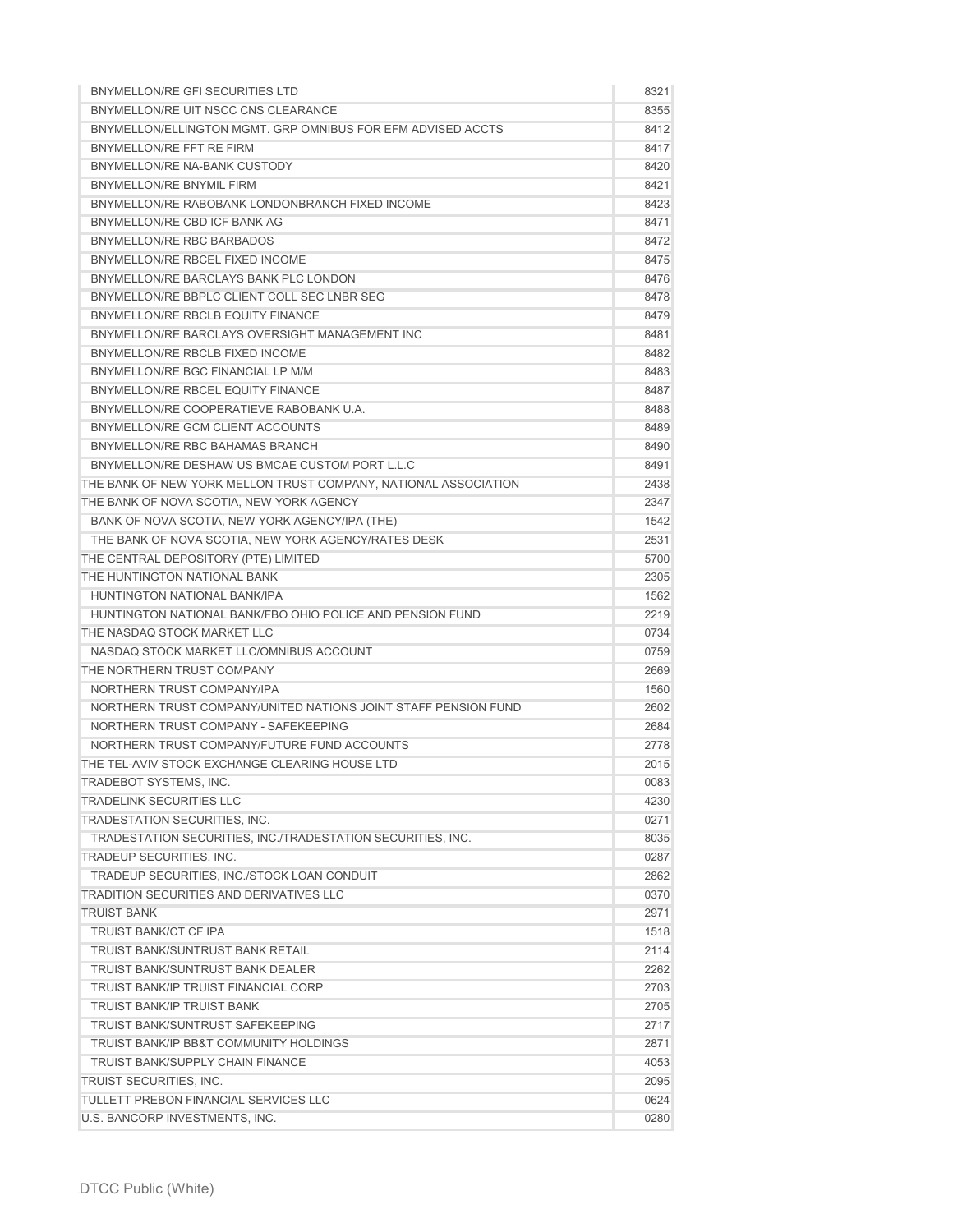| BNYMELLON/RE GFI SECURITIES LTD                                 | 8321         |
|-----------------------------------------------------------------|--------------|
| BNYMELLON/RE UIT NSCC CNS CLEARANCE                             | 8355         |
| BNYMELLON/ELLINGTON MGMT, GRP OMNIBUS FOR EFM ADVISED ACCTS     | 8412         |
| BNYMELLON/RE FFT RE FIRM                                        | 8417         |
| BNYMELLON/RE NA-BANK CUSTODY                                    | 8420         |
| BNYMELLON/RE BNYMIL FIRM                                        | 8421         |
| BNYMELLON/RE RABOBANK LONDONBRANCH FIXED INCOME                 | 8423         |
| BNYMELLON/RE CBD ICF BANK AG                                    | 8471         |
| BNYMELLON/RE RBC BARBADOS                                       | 8472         |
| BNYMELLON/RE RBCEL FIXED INCOME                                 | 8475         |
| BNYMELLON/RE BARCLAYS BANK PLC LONDON                           | 8476         |
| BNYMELLON/RE BBPLC CLIENT COLL SEC LNBR SEG                     | 8478         |
| BNYMELLON/RE RBCLB EQUITY FINANCE                               | 8479         |
| BNYMELLON/RE BARCLAYS OVERSIGHT MANAGEMENT INC                  | 8481         |
| BNYMELLON/RE RBCLB FIXED INCOME                                 | 8482         |
| BNYMELLON/RE BGC FINANCIAL LP M/M                               | 8483         |
| BNYMELLON/RE RBCEL EQUITY FINANCE                               | 8487         |
| BNYMELLON/RE COOPERATIEVE RABOBANK U.A.                         | 8488         |
| BNYMELLON/RE GCM CLIENT ACCOUNTS                                | 8489         |
| BNYMELLON/RE RBC BAHAMAS BRANCH                                 | 8490         |
| BNYMELLON/RE DESHAW US BMCAE CUSTOM PORT L.L.C                  |              |
| THE BANK OF NEW YORK MELLON TRUST COMPANY, NATIONAL ASSOCIATION | 8491         |
|                                                                 | 2438<br>2347 |
| THE BANK OF NOVA SCOTIA, NEW YORK AGENCY                        |              |
| BANK OF NOVA SCOTIA, NEW YORK AGENCY/IPA (THE)                  | 1542         |
| THE BANK OF NOVA SCOTIA, NEW YORK AGENCY/RATES DESK             | 2531         |
| THE CENTRAL DEPOSITORY (PTE) LIMITED                            | 5700         |
| THE HUNTINGTON NATIONAL BANK                                    | 2305         |
| HUNTINGTON NATIONAL BANK/IPA                                    | 1562         |
| HUNTINGTON NATIONAL BANK/FBO OHIO POLICE AND PENSION FUND       | 2219         |
| THE NASDAQ STOCK MARKET LLC                                     | 0734         |
| NASDAQ STOCK MARKET LLC/OMNIBUS ACCOUNT                         | 0759         |
| THE NORTHERN TRUST COMPANY                                      | 2669         |
| NORTHERN TRUST COMPANY/IPA                                      | 1560         |
| NORTHERN TRUST COMPANY/UNITED NATIONS JOINT STAFF PENSION FUND  | 2602         |
| NORTHERN TRUST COMPANY - SAFEKEEPING                            | 2684         |
| NORTHERN TRUST COMPANY/FUTURE FUND ACCOUNTS                     | 2778         |
| THE TEL-AVIV STOCK EXCHANGE CLEARING HOUSE LTD                  | 2015         |
| TRADEBOT SYSTEMS, INC.                                          | 0083         |
| <b>TRADELINK SECURITIES LLC</b>                                 | 4230         |
| TRADESTATION SECURITIES. INC.                                   | 0271         |
| TRADESTATION SECURITIES, INC./TRADESTATION SECURITIES, INC.     | 8035         |
| TRADEUP SECURITIES, INC.                                        | 0287         |
| TRADEUP SECURITIES, INC./STOCK LOAN CONDUIT                     | 2862         |
| <b>TRADITION SECURITIES AND DERIVATIVES LLC</b>                 | 0370         |
| <b>TRUIST BANK</b>                                              | 2971         |
| <b>TRUIST BANK/CT CF IPA</b>                                    | 1518         |
| TRUIST BANK/SUNTRUST BANK RETAIL                                | 2114         |
| <b>TRUIST BANK/SUNTRUST BANK DEALER</b>                         | 2262         |
| <b>TRUIST BANK/IP TRUIST FINANCIAL CORP</b>                     | 2703         |
| <b>TRUIST BANK/IP TRUIST BANK</b>                               | 2705         |
| <b>TRUIST BANK/SUNTRUST SAFEKEEPING</b>                         | 2717         |
| <b>TRUIST BANK/IP BB&amp;T COMMUNITY HOLDINGS</b>               | 2871         |
| <b>TRUIST BANK/SUPPLY CHAIN FINANCE</b>                         | 4053         |
| TRUIST SECURITIES, INC.                                         | 2095         |
| TULLETT PREBON FINANCIAL SERVICES LLC                           | 0624         |
| U.S. BANCORP INVESTMENTS, INC.                                  | 0280         |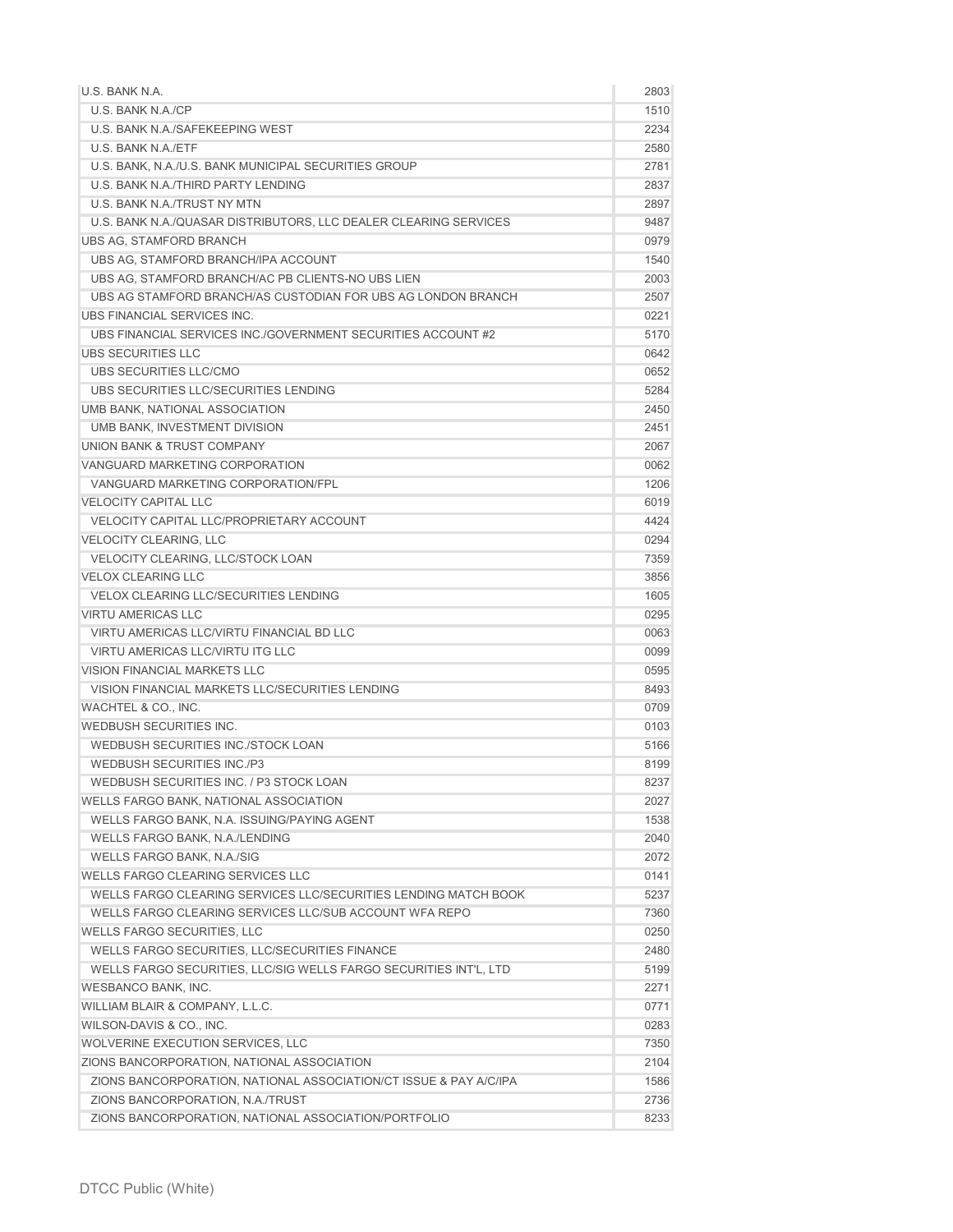| U.S. BANK N.A.                                                    | 2803 |
|-------------------------------------------------------------------|------|
| U.S. BANK N.A./CP                                                 | 1510 |
| U.S. BANK N.A./SAFEKEEPING WEST                                   | 2234 |
| U.S. BANK N.A./ETF                                                | 2580 |
| U.S. BANK, N.A./U.S. BANK MUNICIPAL SECURITIES GROUP              | 2781 |
| U.S. BANK N.A./THIRD PARTY LENDING                                | 2837 |
| U.S. BANK N.A./TRUST NY MTN                                       | 2897 |
| U.S. BANK N.A./QUASAR DISTRIBUTORS, LLC DEALER CLEARING SERVICES  | 9487 |
| <b>UBS AG, STAMFORD BRANCH</b>                                    | 0979 |
| UBS AG, STAMFORD BRANCH/IPA ACCOUNT                               | 1540 |
| UBS AG, STAMFORD BRANCH/AC PB CLIENTS-NO UBS LIEN                 | 2003 |
| UBS AG STAMFORD BRANCH/AS CUSTODIAN FOR UBS AG LONDON BRANCH      | 2507 |
| UBS FINANCIAL SERVICES INC.                                       | 0221 |
| UBS FINANCIAL SERVICES INC./GOVERNMENT SECURITIES ACCOUNT #2      | 5170 |
| UBS SECURITIES LLC                                                | 0642 |
| UBS SECURITIES LLC/CMO                                            | 0652 |
| UBS SECURITIES LLC/SECURITIES LENDING                             | 5284 |
| UMB BANK, NATIONAL ASSOCIATION                                    | 2450 |
| UMB BANK, INVESTMENT DIVISION                                     | 2451 |
| UNION BANK & TRUST COMPANY                                        | 2067 |
| VANGUARD MARKETING CORPORATION                                    | 0062 |
| VANGUARD MARKETING CORPORATION/FPL                                | 1206 |
| <b>VELOCITY CAPITAL LLC</b>                                       | 6019 |
| <b>VELOCITY CAPITAL LLC/PROPRIETARY ACCOUNT</b>                   | 4424 |
| <b>VELOCITY CLEARING, LLC</b>                                     | 0294 |
| VELOCITY CLEARING, LLC/STOCK LOAN                                 | 7359 |
| <b>VELOX CLEARING LLC</b>                                         | 3856 |
| <b>VELOX CLEARING LLC/SECURITIES LENDING</b>                      | 1605 |
| <b>VIRTU AMERICAS LLC</b>                                         | 0295 |
| VIRTU AMERICAS LLC/VIRTU FINANCIAL BD LLC                         | 0063 |
| VIRTU AMERICAS LLC/VIRTU ITG LLC                                  | 0099 |
| <b>VISION FINANCIAL MARKETS LLC</b>                               | 0595 |
| VISION FINANCIAL MARKETS LLC/SECURITIES LENDING                   | 8493 |
| WACHTEL & CO., INC.                                               | 0709 |
| WEDBUSH SECURITIES INC.                                           | 0103 |
| WEDBUSH SECURITIES INC./STOCK LOAN                                | 5166 |
| <b>WEDBUSH SECURITIES INC./P3</b>                                 | 8199 |
| WEDBUSH SECURITIES INC. / P3 STOCK LOAN                           | 8237 |
| WELLS FARGO BANK, NATIONAL ASSOCIATION                            | 2027 |
| WELLS FARGO BANK, N.A. ISSUING/PAYING AGENT                       | 1538 |
| WELLS FARGO BANK, N.A./LENDING                                    | 2040 |
| WELLS FARGO BANK, N.A./SIG                                        | 2072 |
| WELLS FARGO CLEARING SERVICES LLC                                 | 0141 |
| WELLS FARGO CLEARING SERVICES LLC/SECURITIES LENDING MATCH BOOK   | 5237 |
| WELLS FARGO CLEARING SERVICES LLC/SUB ACCOUNT WFA REPO            | 7360 |
| <b>WELLS FARGO SECURITIES, LLC</b>                                | 0250 |
| WELLS FARGO SECURITIES, LLC/SECURITIES FINANCE                    | 2480 |
| WELLS FARGO SECURITIES, LLC/SIG WELLS FARGO SECURITIES INT'L, LTD | 5199 |
| <b>WESBANCO BANK, INC.</b>                                        | 2271 |
| WILLIAM BLAIR & COMPANY, L.L.C.                                   | 0771 |
| WILSON-DAVIS & CO., INC.                                          | 0283 |
| WOLVERINE EXECUTION SERVICES, LLC                                 | 7350 |
| ZIONS BANCORPORATION, NATIONAL ASSOCIATION                        | 2104 |
| ZIONS BANCORPORATION, NATIONAL ASSOCIATION/CT ISSUE & PAY A/C/IPA | 1586 |
| ZIONS BANCORPORATION, N.A./TRUST                                  | 2736 |
| ZIONS BANCORPORATION, NATIONAL ASSOCIATION/PORTFOLIO              | 8233 |